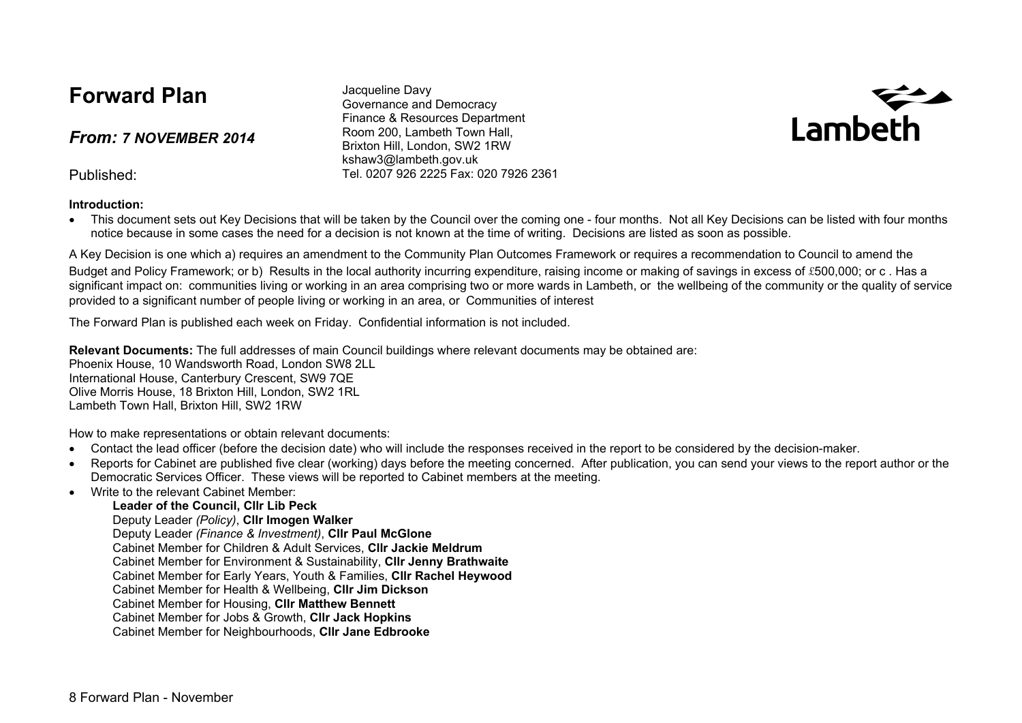# **Forward Plan**

*From: 7 NOVEMBER 2014*

Published:

#### Jacqueline Davy Governance and Democracy Finance & Resources Department Room 200, Lambeth Town Hall, Brixton Hill, London, SW2 1RW kshaw3@lambeth.gov.uk Tel. 0207 926 2225 Fax: 020 7926 2361



#### **Introduction:**

• This document sets out Key Decisions that will be taken by the Council over the coming one - four months. Not all Key Decisions can be listed with four months notice because in some cases the need for a decision is not known at the time of writing. Decisions are listed as soon as possible.

A Key Decision is one which a) requires an amendment to the Community Plan Outcomes Framework or requires a recommendation to Council to amend the Budget and Policy Framework; or b) Results in the local authority incurring expenditure, raising income or making of savings in excess of £500,000; or c. Has a significant impact on: communities living or working in an area comprising two or more wards in Lambeth, or the wellbeing of the community or the quality of service provided to a significant number of people living or working in an area, or Communities of interest

The Forward Plan is published each week on Friday. Confidential information is not included.

**Relevant Documents:** The full addresses of main Council buildings where relevant documents may be obtained are: Phoenix House, 10 Wandsworth Road, London SW8 2LL International House, Canterbury Crescent, SW9 7QE Olive Morris House, 18 Brixton Hill, London, SW2 1RL Lambeth Town Hall, Brixton Hill, SW2 1RW

How to make representations or obtain relevant documents:

- Contact the lead officer (before the decision date) who will include the responses received in the report to be considered by the decision-maker.
- Reports for Cabinet are published five clear (working) days before the meeting concerned. After publication, you can send your views to the report author or the Democratic Services Officer. These views will be reported to Cabinet members at the meeting.
- Write to the relevant Cabinet Member:

**Leader of the Council, Cllr Lib Peck** Deputy Leader *(Policy)*, **Cllr Imogen Walker** Deputy Leader *(Finance & Investment)*, **Cllr Paul McGlone** Cabinet Member for Children & Adult Services, **Cllr Jackie Meldrum** Cabinet Member for Environment & Sustainability, **Cllr Jenny Brathwaite** Cabinet Member for Early Years, Youth & Families, **Cllr Rachel Heywood** Cabinet Member for Health & Wellbeing, **Cllr Jim Dickson** Cabinet Member for Housing, **Cllr Matthew Bennett** Cabinet Member for Jobs & Growth, **Cllr Jack Hopkins** Cabinet Member for Neighbourhoods, **Cllr Jane Edbrooke**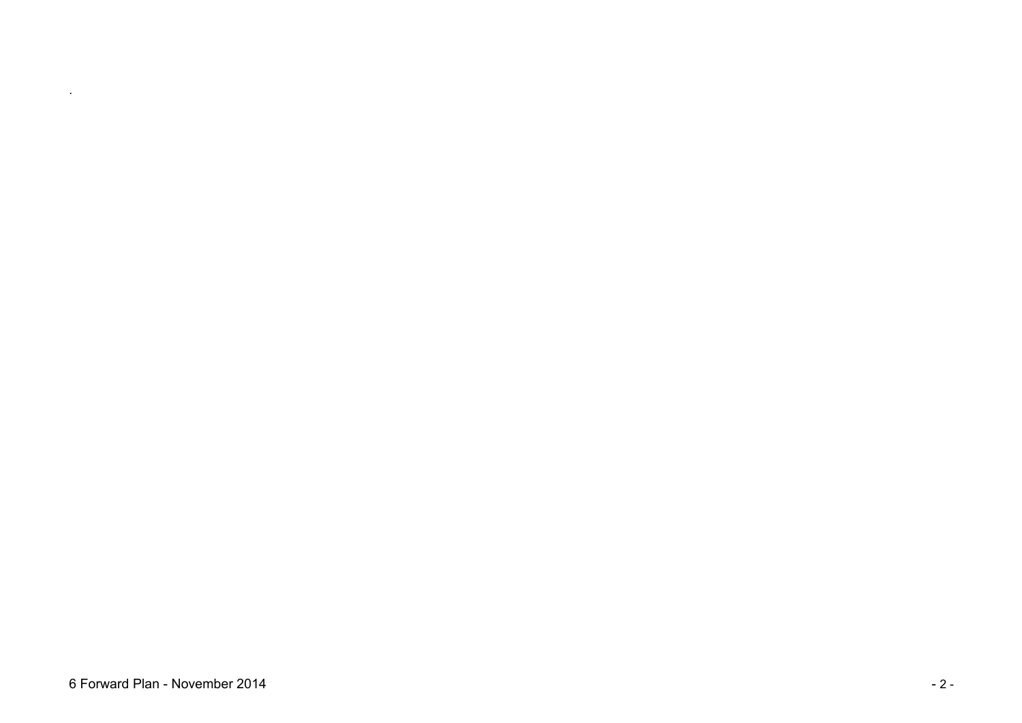6 Forward Plan - November 2014 - 2 -

.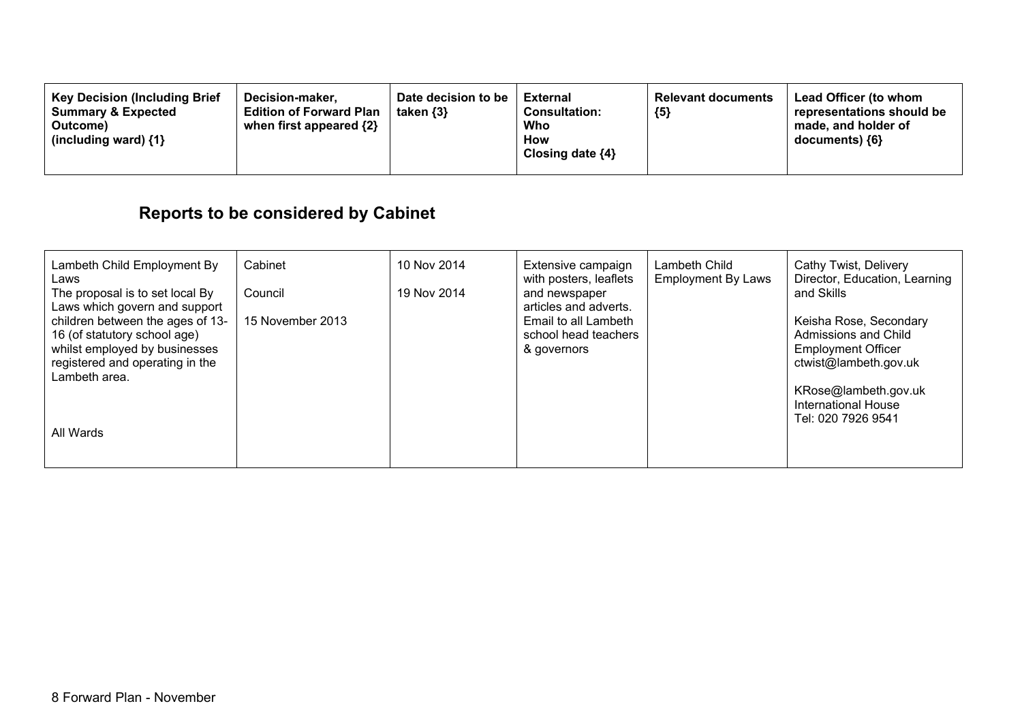| <b>Key Decision (Including Brief</b><br>Decision-maker.<br><b>Summary &amp; Expected</b><br><b>Edition of Forward Plan</b><br>when first appeared {2}<br>Outcome)<br>(including ward) $\{1\}$ | Date decision to be<br>taken $\{3\}$ | External<br><b>Consultation:</b><br>Who<br>How<br>Closing date $\{4\}$ | <b>Relevant documents</b><br>${5}$ | <b>Lead Officer (to whom</b><br>representations should be<br>made, and holder of<br>documents) ${6}$ |
|-----------------------------------------------------------------------------------------------------------------------------------------------------------------------------------------------|--------------------------------------|------------------------------------------------------------------------|------------------------------------|------------------------------------------------------------------------------------------------------|
|-----------------------------------------------------------------------------------------------------------------------------------------------------------------------------------------------|--------------------------------------|------------------------------------------------------------------------|------------------------------------|------------------------------------------------------------------------------------------------------|

# **Reports to be considered by Cabinet**

| Lambeth Child Employment By<br>Laws                                                                                                                                                    | Cabinet          | 10 Nov 2014 | Extensive campaign<br>with posters, leaflets                                         | Lambeth Child<br><b>Employment By Laws</b> | Cathy Twist, Delivery<br>Director, Education, Learning                                               |
|----------------------------------------------------------------------------------------------------------------------------------------------------------------------------------------|------------------|-------------|--------------------------------------------------------------------------------------|--------------------------------------------|------------------------------------------------------------------------------------------------------|
| The proposal is to set local By                                                                                                                                                        | Council          | 19 Nov 2014 | and newspaper                                                                        |                                            | and Skills                                                                                           |
| Laws which govern and support<br>children between the ages of 13-<br>16 (of statutory school age)<br>whilst employed by businesses<br>registered and operating in the<br>Lambeth area. | 15 November 2013 |             | articles and adverts.<br>Email to all Lambeth<br>school head teachers<br>& governors |                                            | Keisha Rose, Secondary<br>Admissions and Child<br><b>Employment Officer</b><br>ctwist@lambeth.gov.uk |
|                                                                                                                                                                                        |                  |             |                                                                                      |                                            | KRose@lambeth.gov.uk<br><b>International House</b><br>Tel: 020 7926 9541                             |
| All Wards                                                                                                                                                                              |                  |             |                                                                                      |                                            |                                                                                                      |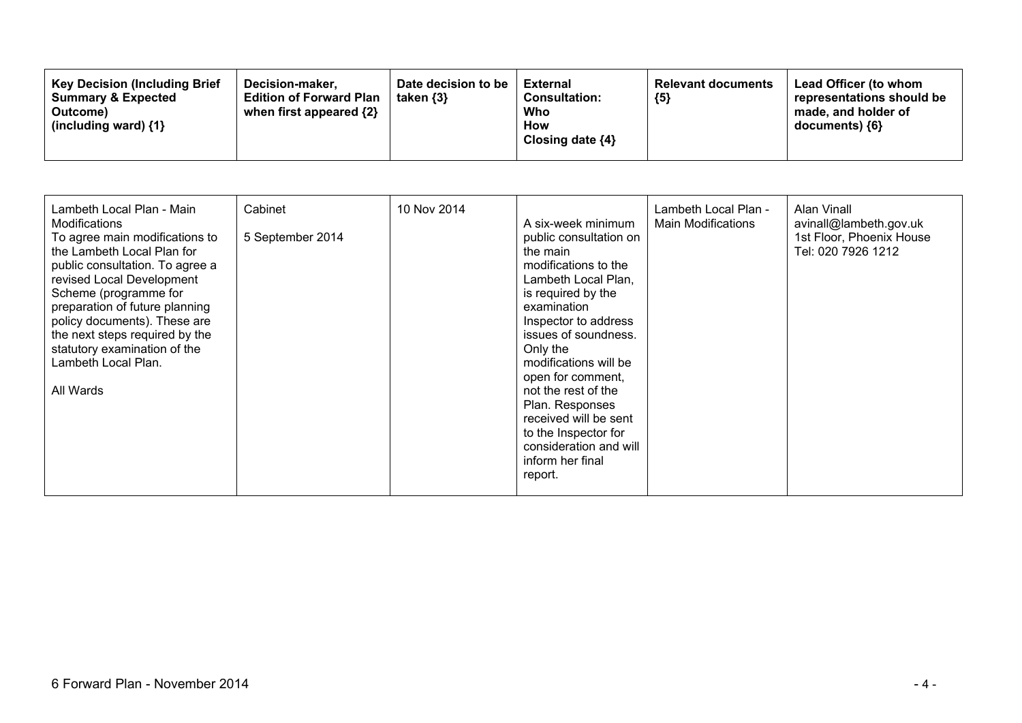| <b>Key Decision (Including Brief</b><br>Date decision to be<br>Decision-maker.<br><b>Summary &amp; Expected</b><br><b>Edition of Forward Plan</b><br>taken $\{3\}$<br>when first appeared $\{2\}$<br>Outcome)<br>(including ward) $\{1\}$ | External<br><b>Consultation:</b><br>Who<br><b>How</b><br>Closing date $\{4\}$ | <b>Relevant documents</b><br>${5}$ | <b>Lead Officer (to whom</b><br>representations should be<br>made, and holder of<br>documents) {6} |
|-------------------------------------------------------------------------------------------------------------------------------------------------------------------------------------------------------------------------------------------|-------------------------------------------------------------------------------|------------------------------------|----------------------------------------------------------------------------------------------------|
|-------------------------------------------------------------------------------------------------------------------------------------------------------------------------------------------------------------------------------------------|-------------------------------------------------------------------------------|------------------------------------|----------------------------------------------------------------------------------------------------|

| Lambeth Local Plan - Main<br>Modifications<br>To agree main modifications to<br>the Lambeth Local Plan for<br>public consultation. To agree a<br>revised Local Development<br>Scheme (programme for<br>preparation of future planning<br>policy documents). These are<br>the next steps required by the<br>statutory examination of the<br>Lambeth Local Plan.<br>All Wards | Cabinet<br>5 September 2014 | 10 Nov 2014 | A six-week minimum<br>public consultation on<br>the main<br>modifications to the<br>Lambeth Local Plan,<br>is required by the<br>examination<br>Inspector to address<br>issues of soundness.<br>Only the<br>modifications will be<br>open for comment,<br>not the rest of the<br>Plan. Responses<br>received will be sent<br>to the Inspector for<br>consideration and will<br>inform her final<br>report. | Lambeth Local Plan -<br><b>Main Modifications</b> | Alan Vinall<br>avinall@lambeth.gov.uk<br>1st Floor, Phoenix House<br>Tel: 020 7926 1212 |
|-----------------------------------------------------------------------------------------------------------------------------------------------------------------------------------------------------------------------------------------------------------------------------------------------------------------------------------------------------------------------------|-----------------------------|-------------|------------------------------------------------------------------------------------------------------------------------------------------------------------------------------------------------------------------------------------------------------------------------------------------------------------------------------------------------------------------------------------------------------------|---------------------------------------------------|-----------------------------------------------------------------------------------------|
|-----------------------------------------------------------------------------------------------------------------------------------------------------------------------------------------------------------------------------------------------------------------------------------------------------------------------------------------------------------------------------|-----------------------------|-------------|------------------------------------------------------------------------------------------------------------------------------------------------------------------------------------------------------------------------------------------------------------------------------------------------------------------------------------------------------------------------------------------------------------|---------------------------------------------------|-----------------------------------------------------------------------------------------|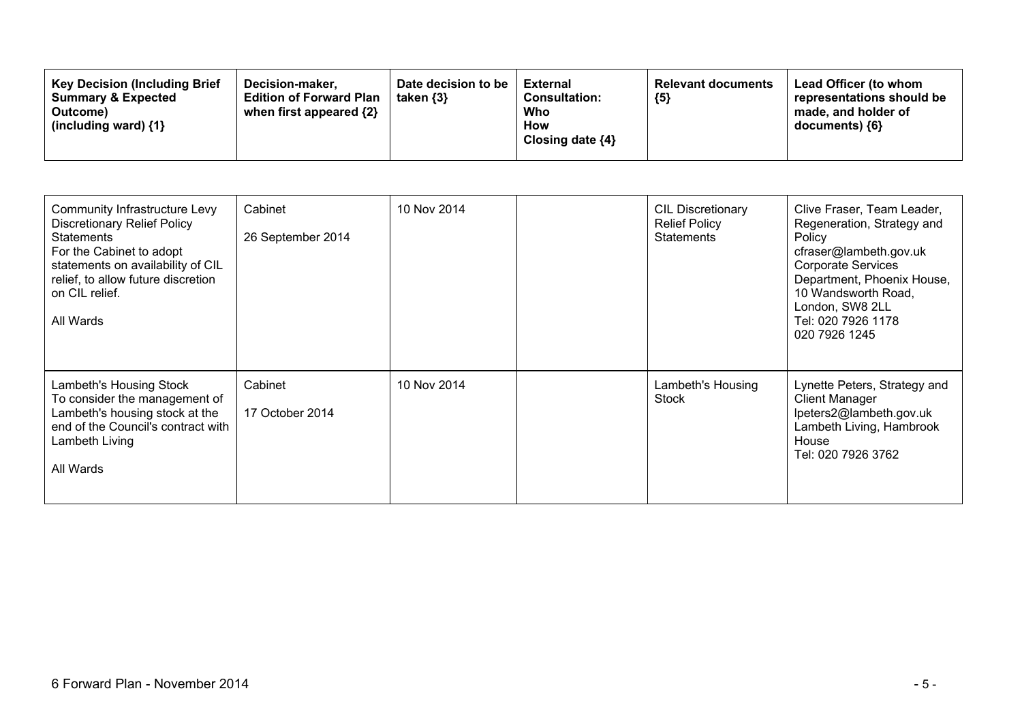| <b>Key Decision (Including Brief</b><br>Decision-maker.<br><b>Summary &amp; Expected</b><br>Outcome)<br>(including ward) $\{1\}$ | Date decision to be<br>taken $\{3\}$<br><b>Edition of Forward Plan</b><br>when first appeared $\{2\}$ | <b>External</b><br><b>Consultation:</b><br>Who<br>How<br>Closing date $\{4\}$ | <b>Relevant documents</b><br>${5}$ | <b>Lead Officer (to whom</b><br>representations should be<br>made, and holder of<br>$documents)$ {6} |
|----------------------------------------------------------------------------------------------------------------------------------|-------------------------------------------------------------------------------------------------------|-------------------------------------------------------------------------------|------------------------------------|------------------------------------------------------------------------------------------------------|
|----------------------------------------------------------------------------------------------------------------------------------|-------------------------------------------------------------------------------------------------------|-------------------------------------------------------------------------------|------------------------------------|------------------------------------------------------------------------------------------------------|

| Community Infrastructure Levy<br><b>Discretionary Relief Policy</b><br><b>Statements</b><br>For the Cabinet to adopt<br>statements on availability of CIL<br>relief, to allow future discretion<br>on CIL relief.<br>All Wards | Cabinet<br>26 September 2014 | 10 Nov 2014 | <b>CIL Discretionary</b><br><b>Relief Policy</b><br><b>Statements</b> | Clive Fraser, Team Leader,<br>Regeneration, Strategy and<br>Policy<br>cfraser@lambeth.gov.uk<br><b>Corporate Services</b><br>Department, Phoenix House,<br>10 Wandsworth Road,<br>London, SW8 2LL<br>Tel: 020 7926 1178<br>020 7926 1245 |
|--------------------------------------------------------------------------------------------------------------------------------------------------------------------------------------------------------------------------------|------------------------------|-------------|-----------------------------------------------------------------------|------------------------------------------------------------------------------------------------------------------------------------------------------------------------------------------------------------------------------------------|
| Lambeth's Housing Stock<br>To consider the management of<br>Lambeth's housing stock at the<br>end of the Council's contract with<br>Lambeth Living<br>All Wards                                                                | Cabinet<br>17 October 2014   | 10 Nov 2014 | Lambeth's Housing<br><b>Stock</b>                                     | Lynette Peters, Strategy and<br><b>Client Manager</b><br>lpeters2@lambeth.gov.uk<br>Lambeth Living, Hambrook<br>House<br>Tel: 020 7926 3762                                                                                              |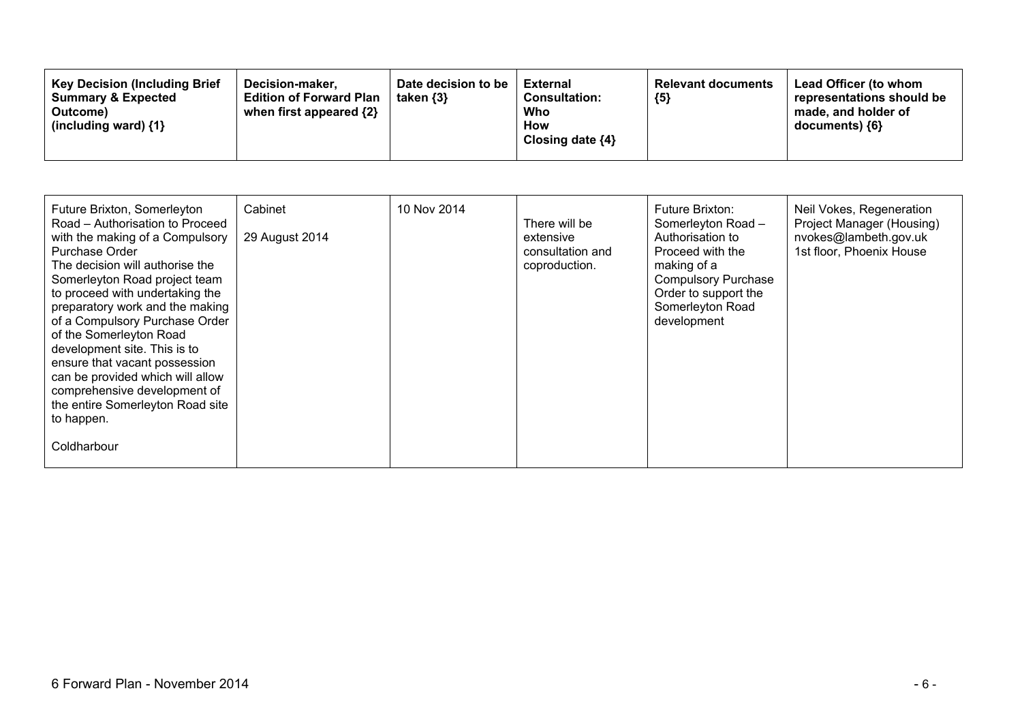| <b>Key Decision (Including Brief</b><br><b>Summary &amp; Expected</b><br>Outcome)<br>(including ward) $\{1\}$ | Date decision to be<br>Decision-maker.<br><b>Edition of Forward Plan</b><br>taken $\{3\}$<br>when first appeared {2} | External<br><b>Consultation:</b><br>Who<br>How<br>Closing date $\{4\}$ | <b>Relevant documents</b><br>${5}$ | Lead Officer (to whom<br>representations should be<br>made, and holder of<br>$documents)$ {6} |
|---------------------------------------------------------------------------------------------------------------|----------------------------------------------------------------------------------------------------------------------|------------------------------------------------------------------------|------------------------------------|-----------------------------------------------------------------------------------------------|
|---------------------------------------------------------------------------------------------------------------|----------------------------------------------------------------------------------------------------------------------|------------------------------------------------------------------------|------------------------------------|-----------------------------------------------------------------------------------------------|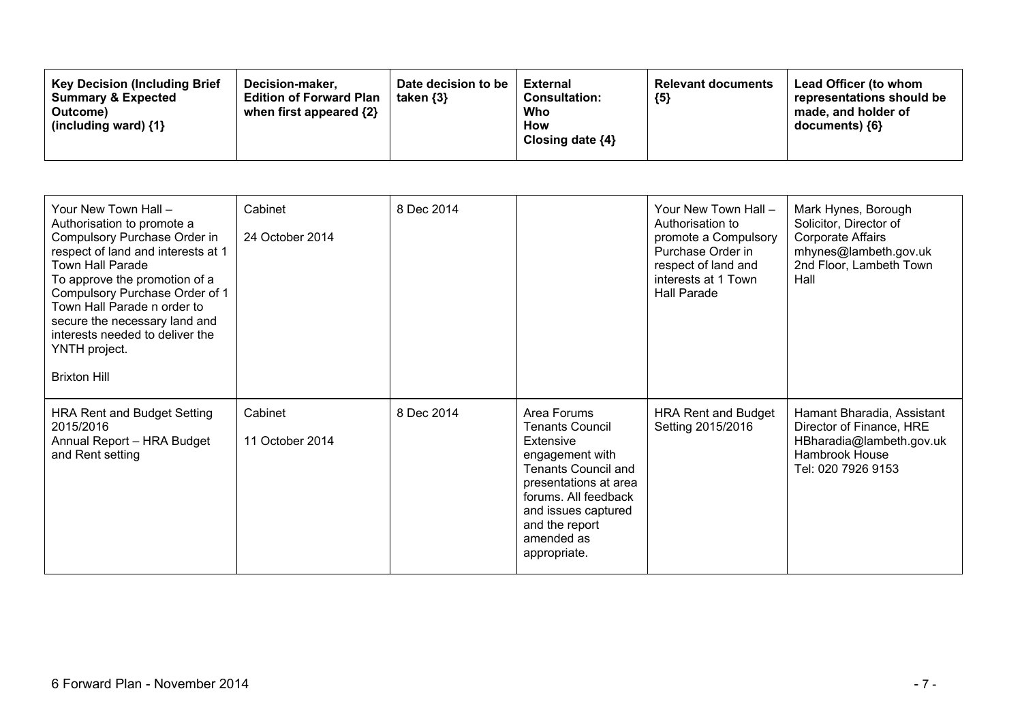| <b>Key Decision (Including Brief</b><br><b>Summary &amp; Expected</b><br>Outcome)<br>(including ward) $\{1\}$ | Decision-maker.<br><b>Edition of Forward Plan</b><br>when first appeared {2} | Date decision to be<br>taken $\{3\}$ | <b>External</b><br><b>Consultation:</b><br>Who<br>How<br>Closing date $\{4\}$ | <b>Relevant documents</b><br>${5}$ | Lead Officer (to whom<br>representations should be<br>made, and holder of<br>documents) {6} |
|---------------------------------------------------------------------------------------------------------------|------------------------------------------------------------------------------|--------------------------------------|-------------------------------------------------------------------------------|------------------------------------|---------------------------------------------------------------------------------------------|
|---------------------------------------------------------------------------------------------------------------|------------------------------------------------------------------------------|--------------------------------------|-------------------------------------------------------------------------------|------------------------------------|---------------------------------------------------------------------------------------------|

| Your New Town Hall -<br>Authorisation to promote a<br>Compulsory Purchase Order in<br>respect of land and interests at 1<br><b>Town Hall Parade</b><br>To approve the promotion of a<br>Compulsory Purchase Order of 1<br>Town Hall Parade n order to<br>secure the necessary land and<br>interests needed to deliver the<br>YNTH project.<br><b>Brixton Hill</b> | Cabinet<br>24 October 2014 | 8 Dec 2014 |                                                                                                                                                                                                                             | Your New Town Hall -<br>Authorisation to<br>promote a Compulsory<br>Purchase Order in<br>respect of land and<br>interests at 1 Town<br>Hall Parade | Mark Hynes, Borough<br>Solicitor, Director of<br><b>Corporate Affairs</b><br>mhynes@lambeth.gov.uk<br>2nd Floor, Lambeth Town<br>Hall |
|-------------------------------------------------------------------------------------------------------------------------------------------------------------------------------------------------------------------------------------------------------------------------------------------------------------------------------------------------------------------|----------------------------|------------|-----------------------------------------------------------------------------------------------------------------------------------------------------------------------------------------------------------------------------|----------------------------------------------------------------------------------------------------------------------------------------------------|---------------------------------------------------------------------------------------------------------------------------------------|
| <b>HRA Rent and Budget Setting</b><br>2015/2016<br>Annual Report - HRA Budget<br>and Rent setting                                                                                                                                                                                                                                                                 | Cabinet<br>11 October 2014 | 8 Dec 2014 | Area Forums<br><b>Tenants Council</b><br>Extensive<br>engagement with<br><b>Tenants Council and</b><br>presentations at area<br>forums. All feedback<br>and issues captured<br>and the report<br>amended as<br>appropriate. | <b>HRA Rent and Budget</b><br>Setting 2015/2016                                                                                                    | Hamant Bharadia, Assistant<br>Director of Finance, HRE<br>HBharadia@lambeth.gov.uk<br>Hambrook House<br>Tel: 020 7926 9153            |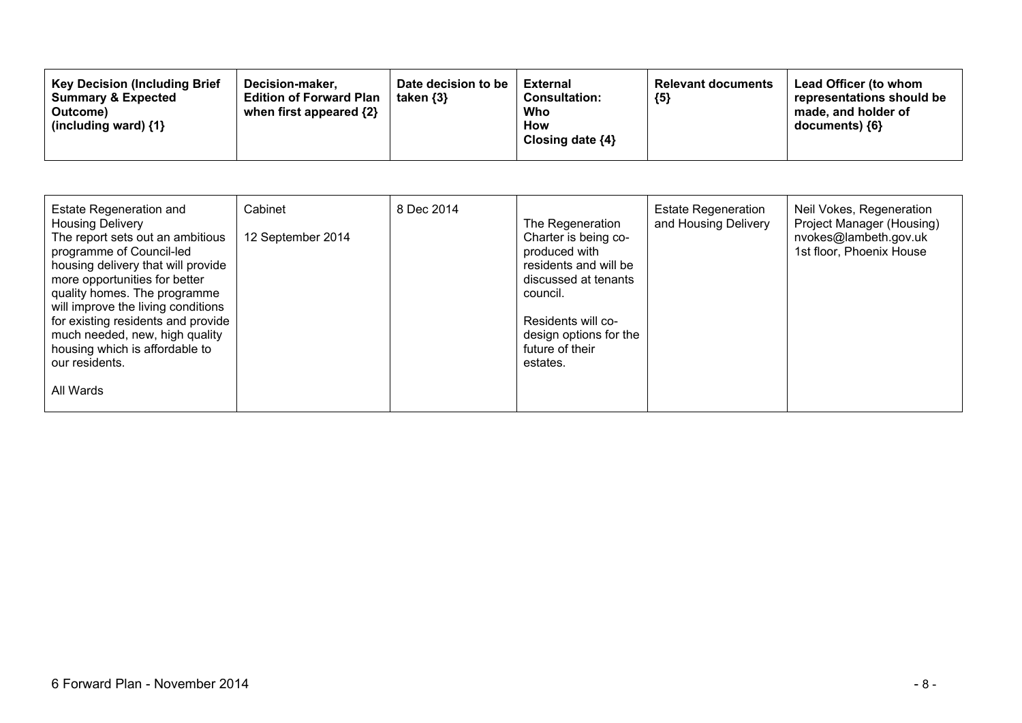| <b>Key Decision (Including Brief</b><br>Decision-maker.<br><b>Summary &amp; Expected</b><br><b>Edition of Forward Plan</b><br>when first appeared {2}<br>Outcome)<br>(including ward) $\{1\}$ | Date decision to be<br>taken $\{3\}$ | External<br><b>Consultation:</b><br>Who<br>How<br>Closing date $\{4\}$ | <b>Relevant documents</b><br>${5}$ | <b>Lead Officer (to whom</b><br>representations should be<br>made, and holder of<br>documents) {6} |
|-----------------------------------------------------------------------------------------------------------------------------------------------------------------------------------------------|--------------------------------------|------------------------------------------------------------------------|------------------------------------|----------------------------------------------------------------------------------------------------|
|-----------------------------------------------------------------------------------------------------------------------------------------------------------------------------------------------|--------------------------------------|------------------------------------------------------------------------|------------------------------------|----------------------------------------------------------------------------------------------------|

| <b>Estate Regeneration and</b><br><b>Housing Delivery</b><br>The report sets out an ambitious<br>programme of Council-led<br>housing delivery that will provide<br>more opportunities for better<br>quality homes. The programme<br>will improve the living conditions<br>for existing residents and provide<br>much needed, new, high quality<br>housing which is affordable to | Cabinet<br>12 September 2014 | 8 Dec 2014 | The Regeneration<br>Charter is being co-<br>produced with<br>residents and will be<br>discussed at tenants<br>council.<br>Residents will co-<br>design options for the<br>future of their | <b>Estate Regeneration</b><br>and Housing Delivery | Neil Vokes, Regeneration<br>Project Manager (Housing)<br>nvokes@lambeth.gov.uk<br>1st floor, Phoenix House |
|----------------------------------------------------------------------------------------------------------------------------------------------------------------------------------------------------------------------------------------------------------------------------------------------------------------------------------------------------------------------------------|------------------------------|------------|-------------------------------------------------------------------------------------------------------------------------------------------------------------------------------------------|----------------------------------------------------|------------------------------------------------------------------------------------------------------------|
| our residents.<br>All Wards                                                                                                                                                                                                                                                                                                                                                      |                              |            | estates.                                                                                                                                                                                  |                                                    |                                                                                                            |
|                                                                                                                                                                                                                                                                                                                                                                                  |                              |            |                                                                                                                                                                                           |                                                    |                                                                                                            |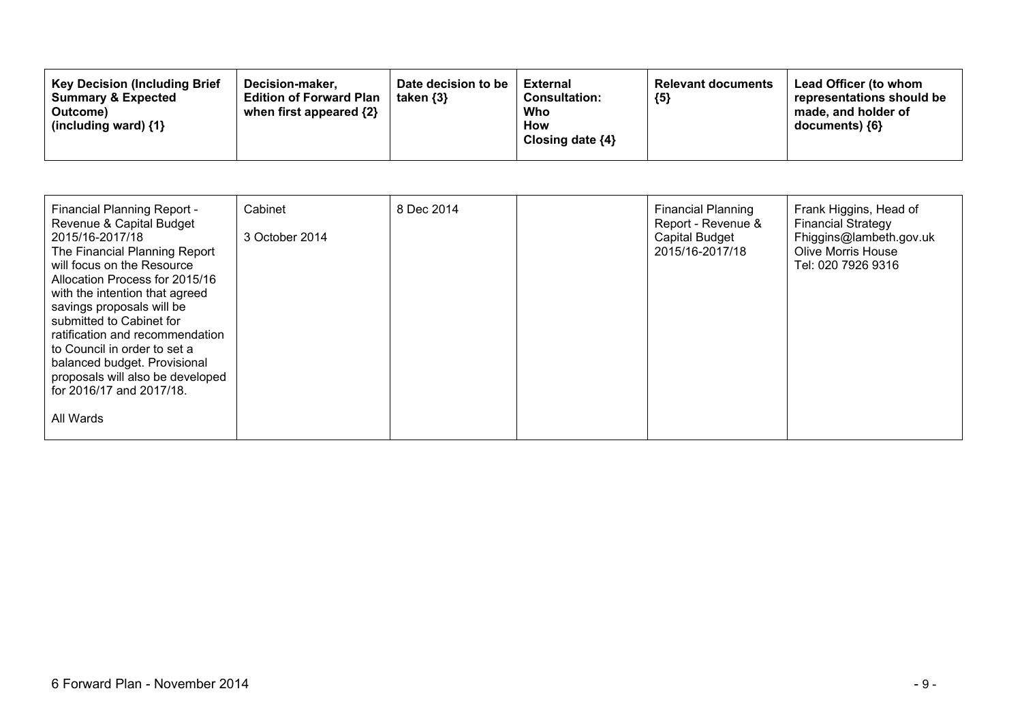| <b>Key Decision (Including Brief</b><br><b>Summary &amp; Expected</b><br>Outcome)<br>(including ward) $\{1\}$ | Decision-maker.<br><b>Edition of Forward Plan</b><br>when first appeared {2} | Date decision to be<br>taken $\{3\}$ | <b>External</b><br><b>Consultation:</b><br>Who<br>How<br>Closing date $\{4\}$ | <b>Relevant documents</b><br>${5}$ | Lead Officer (to whom<br>representations should be<br>made, and holder of<br>documents) {6} |
|---------------------------------------------------------------------------------------------------------------|------------------------------------------------------------------------------|--------------------------------------|-------------------------------------------------------------------------------|------------------------------------|---------------------------------------------------------------------------------------------|
|---------------------------------------------------------------------------------------------------------------|------------------------------------------------------------------------------|--------------------------------------|-------------------------------------------------------------------------------|------------------------------------|---------------------------------------------------------------------------------------------|

| Financial Planning Report -<br>Revenue & Capital Budget<br>2015/16-2017/18<br>The Financial Planning Report<br>will focus on the Resource<br>Allocation Process for 2015/16<br>with the intention that agreed<br>savings proposals will be<br>submitted to Cabinet for<br>ratification and recommendation<br>to Council in order to set a<br>balanced budget. Provisional<br>proposals will also be developed<br>for 2016/17 and 2017/18. | Cabinet<br>3 October 2014 | 8 Dec 2014 | <b>Financial Planning</b><br>Report - Revenue &<br>Capital Budget<br>2015/16-2017/18 | Frank Higgins, Head of<br><b>Financial Strategy</b><br>Fhiggins@lambeth.gov.uk<br><b>Olive Morris House</b><br>Tel: 020 7926 9316 |
|-------------------------------------------------------------------------------------------------------------------------------------------------------------------------------------------------------------------------------------------------------------------------------------------------------------------------------------------------------------------------------------------------------------------------------------------|---------------------------|------------|--------------------------------------------------------------------------------------|-----------------------------------------------------------------------------------------------------------------------------------|
| All Wards                                                                                                                                                                                                                                                                                                                                                                                                                                 |                           |            |                                                                                      |                                                                                                                                   |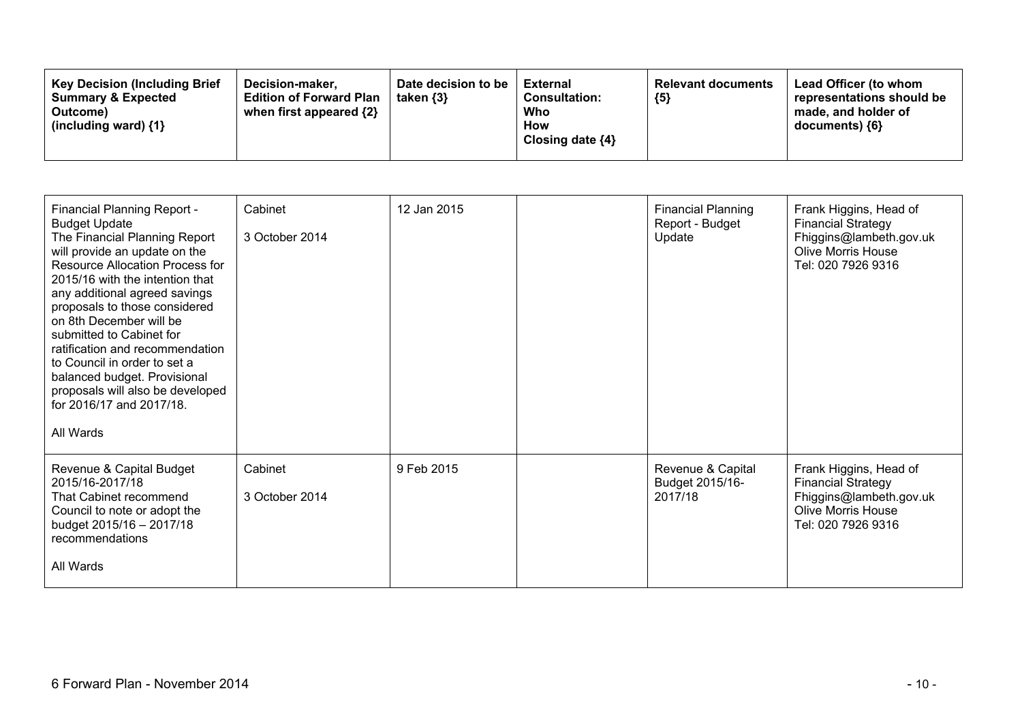| <b>Key Decision (Including Brief</b><br>Decision-maker,<br><b>Summary &amp; Expected</b><br><b>Edition of Forward Plan</b><br>when first appeared {2}<br>Outcome)<br>(including ward) $\{1\}$ | Date decision to be<br>taken $\{3\}$ | External<br><b>Consultation:</b><br>Who<br>How<br>Closing date $\{4\}$ | <b>Relevant documents</b><br>${5}$ | Lead Officer (to whom<br>representations should be<br>made, and holder of<br>documents) {6} |
|-----------------------------------------------------------------------------------------------------------------------------------------------------------------------------------------------|--------------------------------------|------------------------------------------------------------------------|------------------------------------|---------------------------------------------------------------------------------------------|
|-----------------------------------------------------------------------------------------------------------------------------------------------------------------------------------------------|--------------------------------------|------------------------------------------------------------------------|------------------------------------|---------------------------------------------------------------------------------------------|

| <b>Financial Planning Report -</b><br><b>Budget Update</b><br>The Financial Planning Report<br>will provide an update on the<br>Resource Allocation Process for<br>2015/16 with the intention that<br>any additional agreed savings<br>proposals to those considered<br>on 8th December will be<br>submitted to Cabinet for<br>ratification and recommendation<br>to Council in order to set a<br>balanced budget. Provisional<br>proposals will also be developed<br>for 2016/17 and 2017/18.<br>All Wards | Cabinet<br>3 October 2014 | 12 Jan 2015 | <b>Financial Planning</b><br>Report - Budget<br>Update | Frank Higgins, Head of<br><b>Financial Strategy</b><br>Fhiggins@lambeth.gov.uk<br><b>Olive Morris House</b><br>Tel: 020 7926 9316 |
|-------------------------------------------------------------------------------------------------------------------------------------------------------------------------------------------------------------------------------------------------------------------------------------------------------------------------------------------------------------------------------------------------------------------------------------------------------------------------------------------------------------|---------------------------|-------------|--------------------------------------------------------|-----------------------------------------------------------------------------------------------------------------------------------|
| Revenue & Capital Budget<br>2015/16-2017/18<br>That Cabinet recommend<br>Council to note or adopt the<br>budget 2015/16 - 2017/18<br>recommendations<br>All Wards                                                                                                                                                                                                                                                                                                                                           | Cabinet<br>3 October 2014 | 9 Feb 2015  | Revenue & Capital<br>Budget 2015/16-<br>2017/18        | Frank Higgins, Head of<br><b>Financial Strategy</b><br>Fhiggins@lambeth.gov.uk<br><b>Olive Morris House</b><br>Tel: 020 7926 9316 |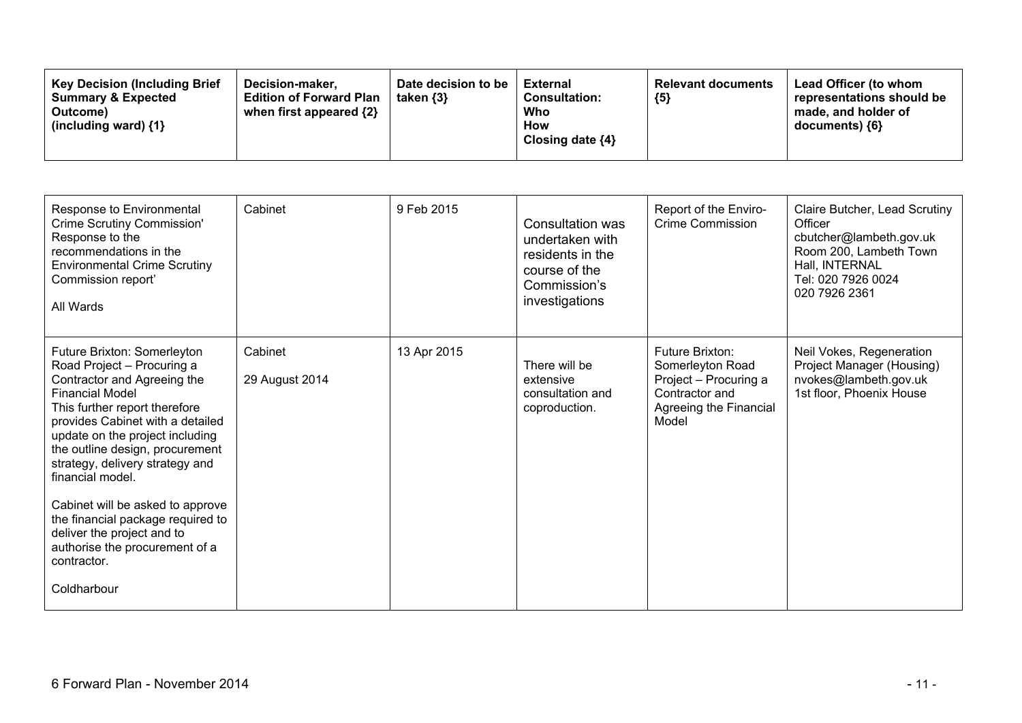| <b>Key Decision (Including Brief</b><br>Decision-maker.<br><b>Summary &amp; Expected</b><br><b>Edition of Forward Plan</b><br>when first appeared $\{2\}$<br>Outcome)<br>(including ward) $\{1\}$ | Date decision to be<br><b>External</b><br><b>Consultation:</b><br>taken {3}<br>Who<br><b>How</b><br>Closing date $\{4\}$ | <b>Relevant documents</b><br>${5}$ | Lead Officer (to whom<br>representations should be<br>made, and holder of<br>documents) {6} |
|---------------------------------------------------------------------------------------------------------------------------------------------------------------------------------------------------|--------------------------------------------------------------------------------------------------------------------------|------------------------------------|---------------------------------------------------------------------------------------------|
|---------------------------------------------------------------------------------------------------------------------------------------------------------------------------------------------------|--------------------------------------------------------------------------------------------------------------------------|------------------------------------|---------------------------------------------------------------------------------------------|

| Response to Environmental<br>Crime Scrutiny Commission'<br>Response to the<br>recommendations in the<br><b>Environmental Crime Scrutiny</b><br>Commission report'<br>All Wards                                                                                                                                                                                                                                                                                                              | Cabinet                   | 9 Feb 2015  | Consultation was<br>undertaken with<br>residents in the<br>course of the<br>Commission's<br>investigations | Report of the Enviro-<br><b>Crime Commission</b>                                                                         | Claire Butcher, Lead Scrutiny<br>Officer<br>cbutcher@lambeth.gov.uk<br>Room 200, Lambeth Town<br>Hall, INTERNAL<br>Tel: 020 7926 0024<br>020 7926 2361 |
|---------------------------------------------------------------------------------------------------------------------------------------------------------------------------------------------------------------------------------------------------------------------------------------------------------------------------------------------------------------------------------------------------------------------------------------------------------------------------------------------|---------------------------|-------------|------------------------------------------------------------------------------------------------------------|--------------------------------------------------------------------------------------------------------------------------|--------------------------------------------------------------------------------------------------------------------------------------------------------|
| Future Brixton: Somerleyton<br>Road Project - Procuring a<br>Contractor and Agreeing the<br><b>Financial Model</b><br>This further report therefore<br>provides Cabinet with a detailed<br>update on the project including<br>the outline design, procurement<br>strategy, delivery strategy and<br>financial model.<br>Cabinet will be asked to approve<br>the financial package required to<br>deliver the project and to<br>authorise the procurement of a<br>contractor.<br>Coldharbour | Cabinet<br>29 August 2014 | 13 Apr 2015 | There will be<br>extensive<br>consultation and<br>coproduction.                                            | <b>Future Brixton:</b><br>Somerleyton Road<br>Project - Procuring a<br>Contractor and<br>Agreeing the Financial<br>Model | Neil Vokes, Regeneration<br>Project Manager (Housing)<br>nvokes@lambeth.gov.uk<br>1st floor, Phoenix House                                             |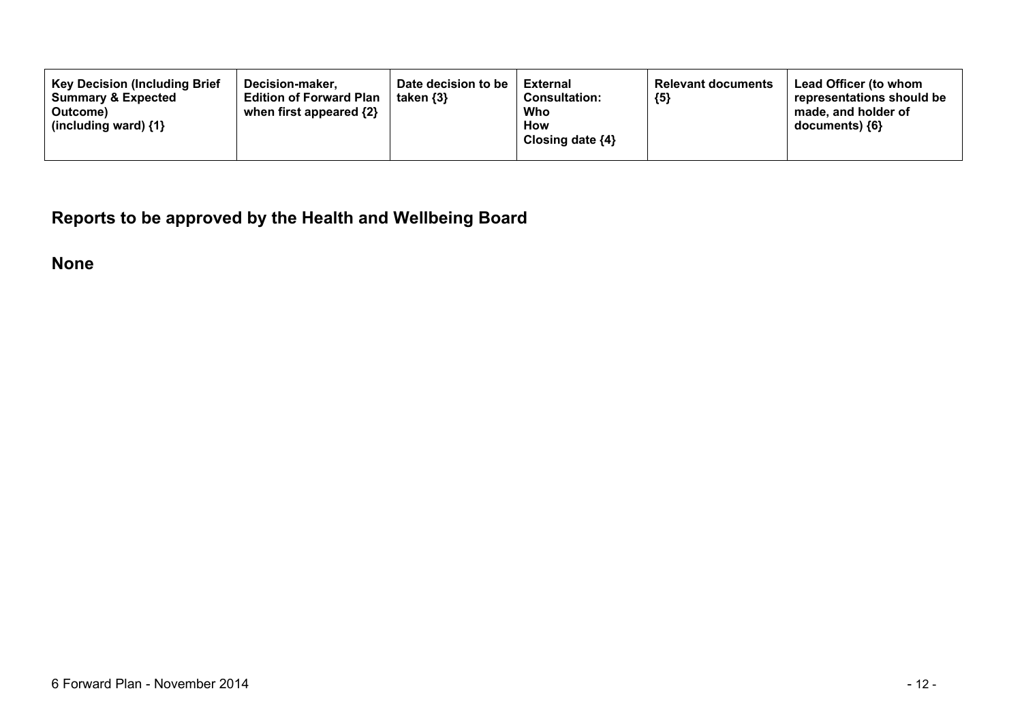**Reports to be approved by the Health and Wellbeing Board**

**None**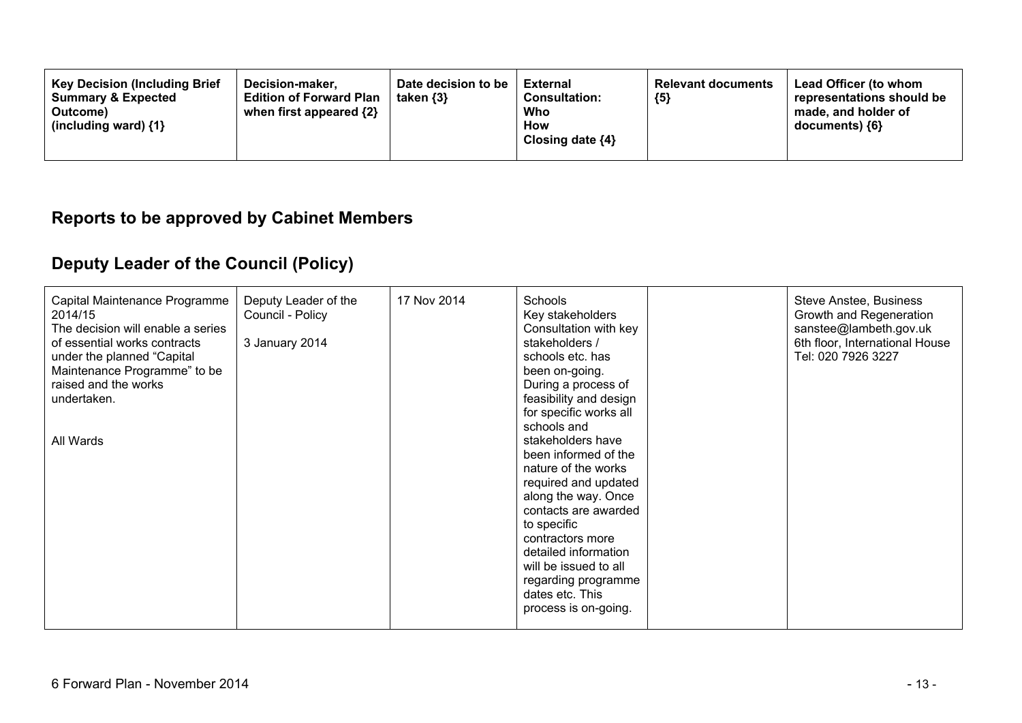| <b>Key Decision (Including Brief</b><br>Decision-maker.<br><b>Summary &amp; Expected</b><br><b>Edition of Forward Plan</b><br>when first appeared $\{2\}$<br>Outcome)<br>(including ward) $\{1\}$ | Date decision to be<br>taken $\{3\}$ | External<br><b>Consultation:</b><br>Who<br>How<br>Closing date ${4}$ | <b>Relevant documents</b><br>${5}$ | Lead Officer (to whom<br>representations should be<br>made, and holder of<br>documents) ${6}$ |
|---------------------------------------------------------------------------------------------------------------------------------------------------------------------------------------------------|--------------------------------------|----------------------------------------------------------------------|------------------------------------|-----------------------------------------------------------------------------------------------|
|---------------------------------------------------------------------------------------------------------------------------------------------------------------------------------------------------|--------------------------------------|----------------------------------------------------------------------|------------------------------------|-----------------------------------------------------------------------------------------------|

### **Reports to be approved by Cabinet Members**

# **Deputy Leader of the Council (Policy)**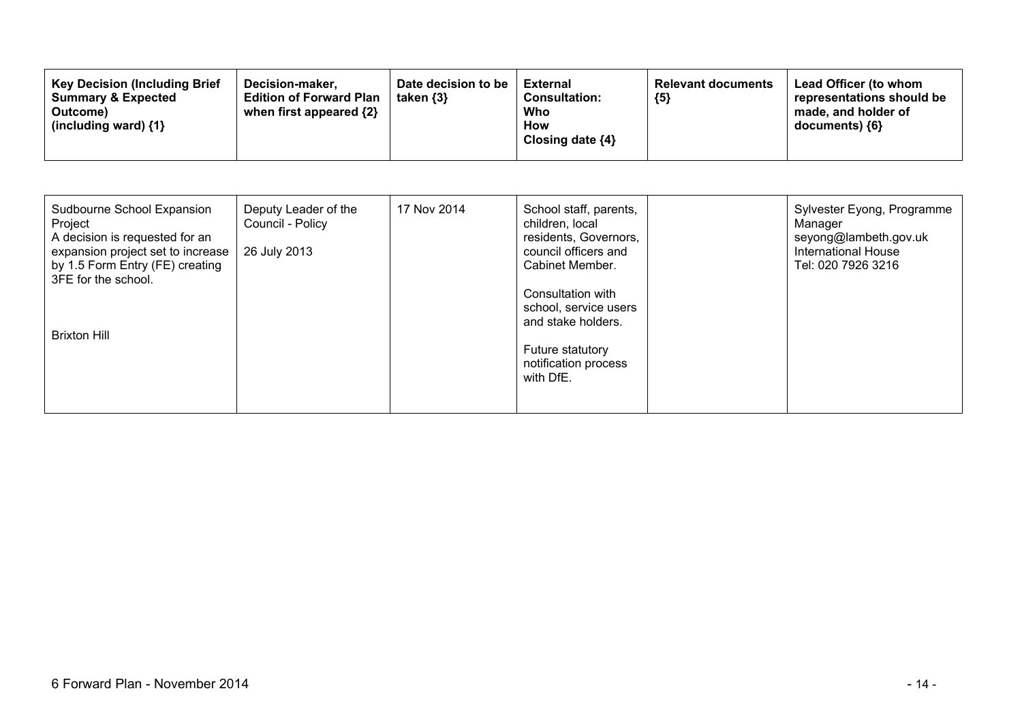| Sudbourne School Expansion<br>Project<br>A decision is requested for an<br>expansion project set to increase<br>by 1.5 Form Entry (FE) creating<br>3FE for the school. | Deputy Leader of the<br>Council - Policy<br>26 July 2013 | 17 Nov 2014 | School staff, parents,<br>children, local<br>residents, Governors,<br>council officers and<br>Cabinet Member.                    | Sylvester Eyong, Programme<br>Manager<br>seyong@lambeth.gov.uk<br>International House<br>Tel: 020 7926 3216 |
|------------------------------------------------------------------------------------------------------------------------------------------------------------------------|----------------------------------------------------------|-------------|----------------------------------------------------------------------------------------------------------------------------------|-------------------------------------------------------------------------------------------------------------|
| <b>Brixton Hill</b>                                                                                                                                                    |                                                          |             | Consultation with<br>school, service users<br>and stake holders.<br><b>Future statutory</b><br>notification process<br>with DfE. |                                                                                                             |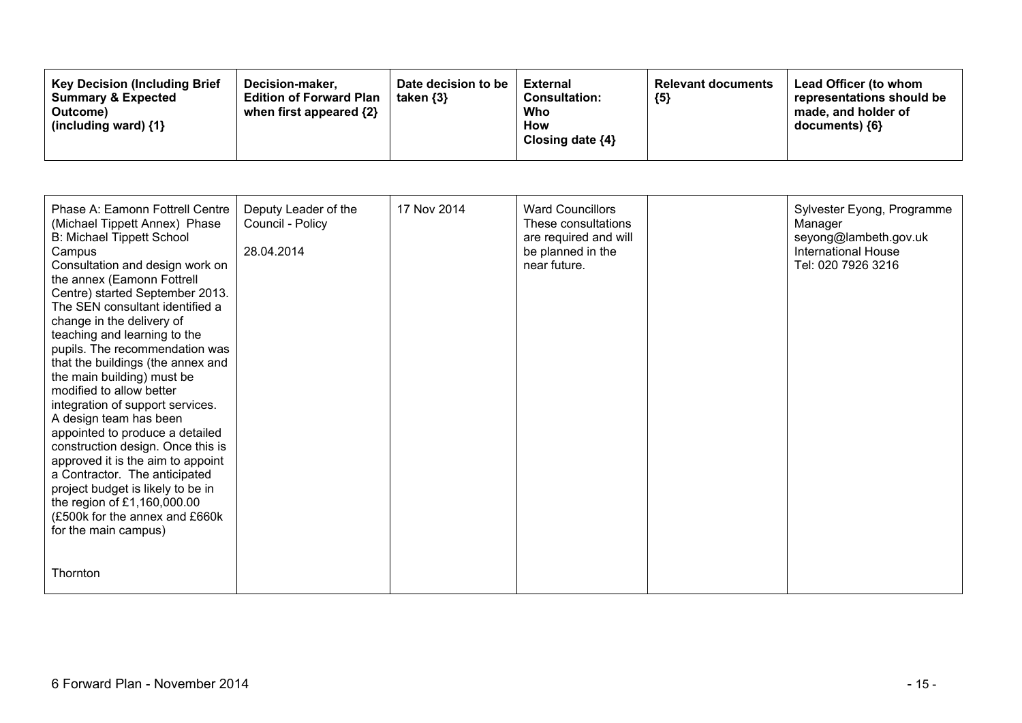| <b>Key Decision (Including Brief)</b><br>Decision-maker,<br><b>Summary &amp; Expected</b><br><b>Edition of Forward Plan</b><br>when first appeared $\{2\}$<br>Outcome)<br>(including ward) {1} | Date decision to be<br>taken $\{3\}$ | External<br><b>Consultation:</b><br>Who<br>How<br>Closing date ${4}$ | <b>Relevant documents</b><br>${5}$ | Lead Officer (to whom<br>representations should be<br>made, and holder of<br>documents) ${6}$ |
|------------------------------------------------------------------------------------------------------------------------------------------------------------------------------------------------|--------------------------------------|----------------------------------------------------------------------|------------------------------------|-----------------------------------------------------------------------------------------------|
|------------------------------------------------------------------------------------------------------------------------------------------------------------------------------------------------|--------------------------------------|----------------------------------------------------------------------|------------------------------------|-----------------------------------------------------------------------------------------------|

| Phase A: Eamonn Fottrell Centre<br>(Michael Tippett Annex) Phase<br><b>B: Michael Tippett School</b><br>Campus<br>Consultation and design work on<br>the annex (Eamonn Fottrell<br>Centre) started September 2013.<br>The SEN consultant identified a<br>change in the delivery of<br>teaching and learning to the<br>pupils. The recommendation was<br>that the buildings (the annex and<br>the main building) must be<br>modified to allow better<br>integration of support services.<br>A design team has been<br>appointed to produce a detailed<br>construction design. Once this is<br>approved it is the aim to appoint<br>a Contractor. The anticipated<br>project budget is likely to be in<br>the region of £1,160,000.00<br>(£500k for the annex and £660k<br>for the main campus) | Deputy Leader of the<br>Council - Policy<br>28.04.2014 | 17 Nov 2014 | <b>Ward Councillors</b><br>These consultations<br>are required and will<br>be planned in the<br>near future. | Sylvester Eyong, Programme<br>Manager<br>seyong@lambeth.gov.uk<br><b>International House</b><br>Tel: 020 7926 3216 |
|-----------------------------------------------------------------------------------------------------------------------------------------------------------------------------------------------------------------------------------------------------------------------------------------------------------------------------------------------------------------------------------------------------------------------------------------------------------------------------------------------------------------------------------------------------------------------------------------------------------------------------------------------------------------------------------------------------------------------------------------------------------------------------------------------|--------------------------------------------------------|-------------|--------------------------------------------------------------------------------------------------------------|--------------------------------------------------------------------------------------------------------------------|
| Thornton                                                                                                                                                                                                                                                                                                                                                                                                                                                                                                                                                                                                                                                                                                                                                                                      |                                                        |             |                                                                                                              |                                                                                                                    |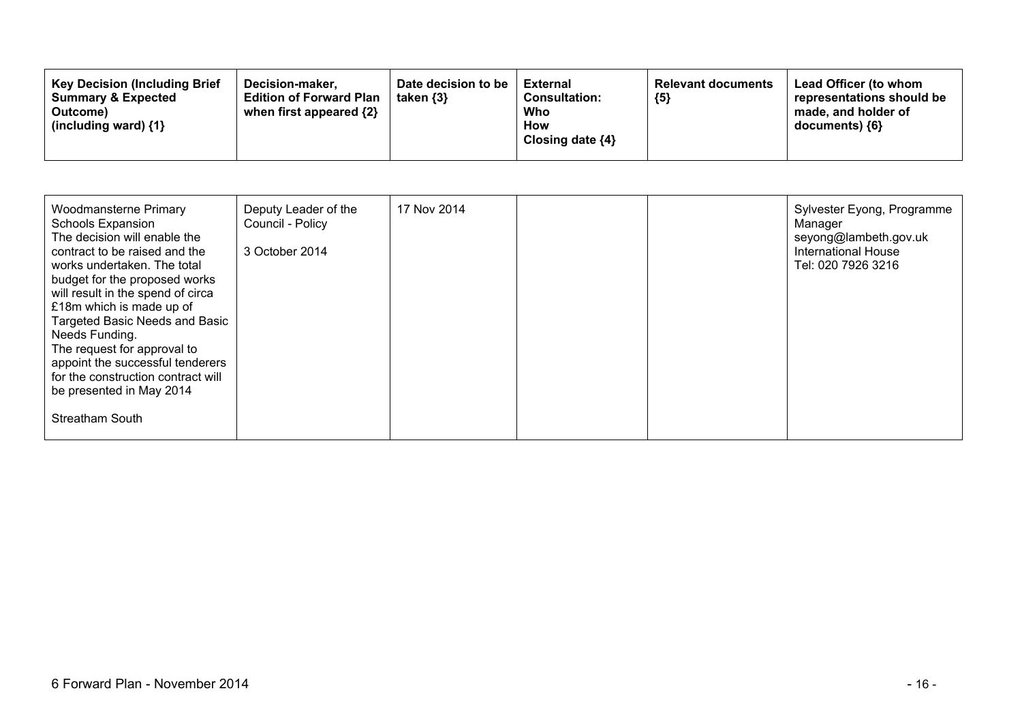| <b>Key Decision (Including Brief</b><br><b>Summary &amp; Expected</b><br>Outcome)<br>(including ward) $\{1\}$ | Decision-maker.<br><b>Edition of Forward Plan</b><br>when first appeared {2} | Date decision to be<br>taken $\{3\}$ | External<br><b>Consultation:</b><br>Who<br>How<br>Closing date $\{4\}$ | <b>Relevant documents</b><br>${5}$ | Lead Officer (to whom<br>representations should be<br>made, and holder of<br>documents) {6} |
|---------------------------------------------------------------------------------------------------------------|------------------------------------------------------------------------------|--------------------------------------|------------------------------------------------------------------------|------------------------------------|---------------------------------------------------------------------------------------------|
|---------------------------------------------------------------------------------------------------------------|------------------------------------------------------------------------------|--------------------------------------|------------------------------------------------------------------------|------------------------------------|---------------------------------------------------------------------------------------------|

| Woodmansterne Primary<br>Schools Expansion<br>The decision will enable the<br>contract to be raised and the<br>works undertaken. The total<br>budget for the proposed works<br>will result in the spend of circa<br>£18m which is made up of<br>Targeted Basic Needs and Basic<br>Needs Funding.<br>The request for approval to<br>appoint the successful tenderers<br>for the construction contract will<br>be presented in May 2014<br>Streatham South | Deputy Leader of the<br>Council - Policy<br>3 October 2014 | 17 Nov 2014 |  | Sylvester Eyong, Programme<br>Manager<br>seyong@lambeth.gov.uk<br><b>International House</b><br>Tel: 020 7926 3216 |
|----------------------------------------------------------------------------------------------------------------------------------------------------------------------------------------------------------------------------------------------------------------------------------------------------------------------------------------------------------------------------------------------------------------------------------------------------------|------------------------------------------------------------|-------------|--|--------------------------------------------------------------------------------------------------------------------|
|                                                                                                                                                                                                                                                                                                                                                                                                                                                          |                                                            |             |  |                                                                                                                    |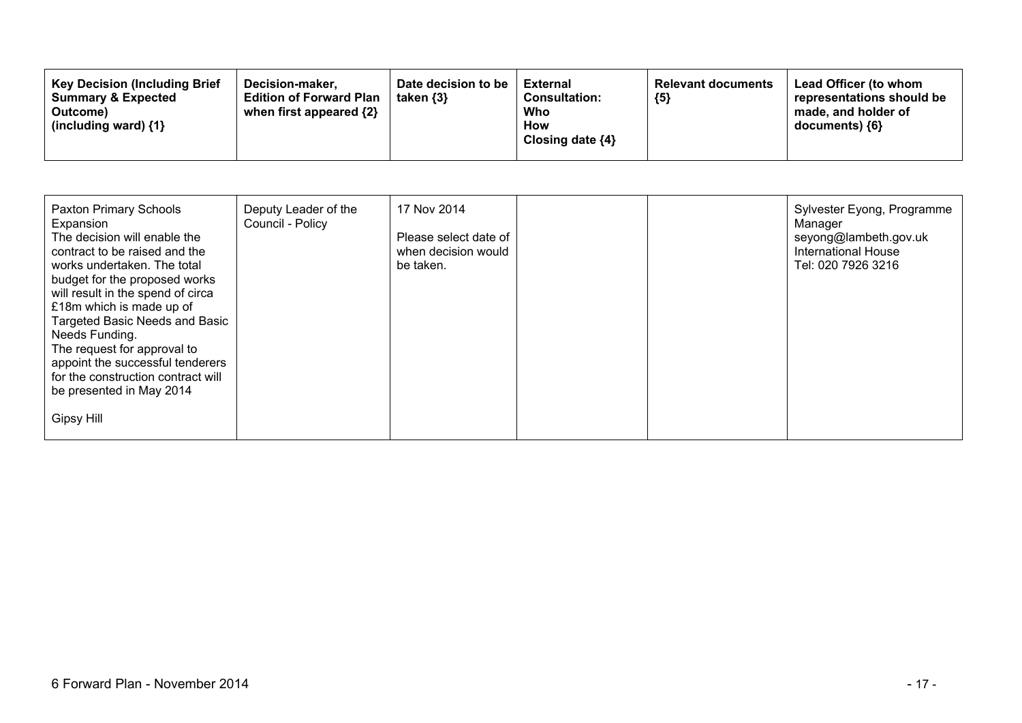| <b>Key Decision (Including Brief</b><br>Date decision to be<br>Decision-maker.<br><b>Edition of Forward Plan</b><br><b>Summary &amp; Expected</b><br>taken $\{3\}$<br>when first appeared {2}<br>Outcome)<br>(including ward) $\{1\}$ | <b>External</b><br>${5}$<br><b>Consultation:</b><br>Who<br><b>How</b><br>Closing date $\{4\}$ | Lead Officer (to whom<br><b>Relevant documents</b><br>representations should be<br>made, and holder of<br>$documents)$ {6} |
|---------------------------------------------------------------------------------------------------------------------------------------------------------------------------------------------------------------------------------------|-----------------------------------------------------------------------------------------------|----------------------------------------------------------------------------------------------------------------------------|
|---------------------------------------------------------------------------------------------------------------------------------------------------------------------------------------------------------------------------------------|-----------------------------------------------------------------------------------------------|----------------------------------------------------------------------------------------------------------------------------|

| <b>Paxton Primary Schools</b><br>Expansion<br>The decision will enable the<br>contract to be raised and the<br>works undertaken. The total<br>budget for the proposed works<br>will result in the spend of circa<br>£18m which is made up of<br><b>Targeted Basic Needs and Basic</b><br>Needs Funding.<br>The request for approval to<br>appoint the successful tenderers<br>for the construction contract will<br>be presented in May 2014 | Deputy Leader of the<br>Council - Policy | 17 Nov 2014<br>Please select date of<br>when decision would<br>be taken. |  | Sylvester Eyong, Programme<br>Manager<br>seyong@lambeth.gov.uk<br><b>International House</b><br>Tel: 020 7926 3216 |
|----------------------------------------------------------------------------------------------------------------------------------------------------------------------------------------------------------------------------------------------------------------------------------------------------------------------------------------------------------------------------------------------------------------------------------------------|------------------------------------------|--------------------------------------------------------------------------|--|--------------------------------------------------------------------------------------------------------------------|
| Gipsy Hill                                                                                                                                                                                                                                                                                                                                                                                                                                   |                                          |                                                                          |  |                                                                                                                    |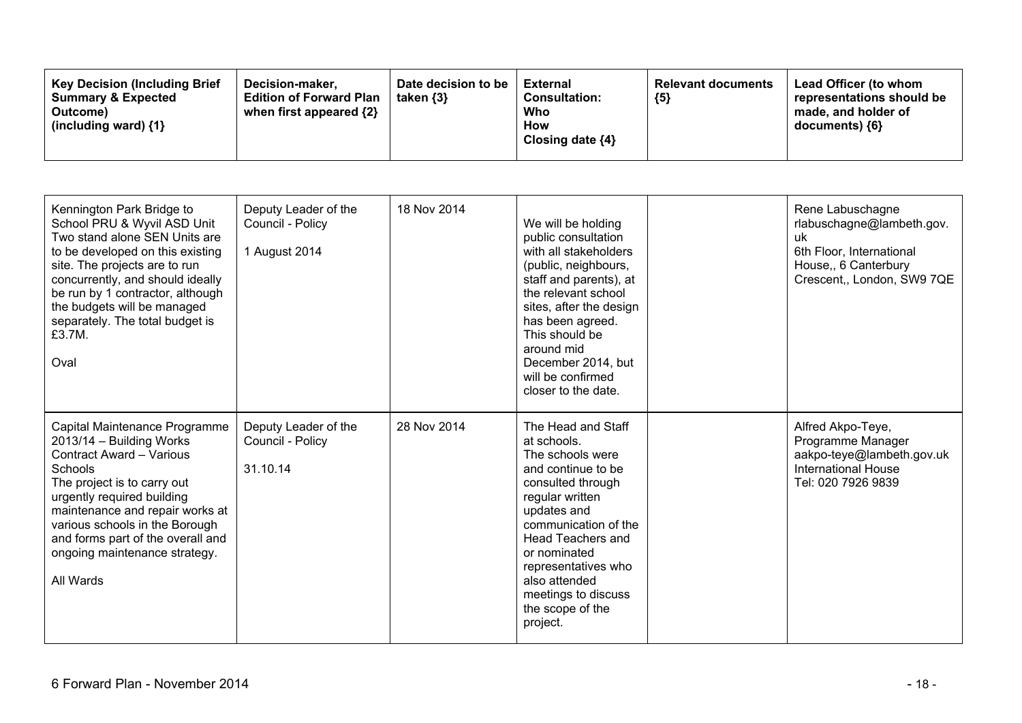| <b>Key Decision (Including Brief)</b><br>Date decision to be<br>Decision-maker,<br><b>Summary &amp; Expected</b><br><b>Edition of Forward Plan</b><br>taken $\{3\}$<br>when first appeared {2}<br>Outcome)<br>(including ward) $\{1\}$ | External<br><b>Consultation:</b><br>Who<br>How<br>Closing date $\{4\}$ | <b>Relevant documents</b><br>${5}$ | <b>Lead Officer (to whom</b><br>representations should be<br>made, and holder of<br>documents) ${6}$ |
|----------------------------------------------------------------------------------------------------------------------------------------------------------------------------------------------------------------------------------------|------------------------------------------------------------------------|------------------------------------|------------------------------------------------------------------------------------------------------|
|----------------------------------------------------------------------------------------------------------------------------------------------------------------------------------------------------------------------------------------|------------------------------------------------------------------------|------------------------------------|------------------------------------------------------------------------------------------------------|

| Kennington Park Bridge to<br>School PRU & Wyvil ASD Unit<br>Two stand alone SEN Units are<br>to be developed on this existing<br>site. The projects are to run<br>concurrently, and should ideally<br>be run by 1 contractor, although<br>the budgets will be managed<br>separately. The total budget is<br>£3.7M.<br>Oval   | Deputy Leader of the<br>Council - Policy<br>1 August 2014 | 18 Nov 2014 | We will be holding<br>public consultation<br>with all stakeholders<br>(public, neighbours,<br>staff and parents), at<br>the relevant school<br>sites, after the design<br>has been agreed.<br>This should be<br>around mid<br>December 2014, but<br>will be confirmed<br>closer to the date.          | Rene Labuschagne<br>rlabuschagne@lambeth.gov.<br>uk<br>6th Floor, International<br>House,, 6 Canterbury<br>Crescent,, London, SW9 7QE |
|------------------------------------------------------------------------------------------------------------------------------------------------------------------------------------------------------------------------------------------------------------------------------------------------------------------------------|-----------------------------------------------------------|-------------|-------------------------------------------------------------------------------------------------------------------------------------------------------------------------------------------------------------------------------------------------------------------------------------------------------|---------------------------------------------------------------------------------------------------------------------------------------|
| Capital Maintenance Programme<br>2013/14 - Building Works<br><b>Contract Award - Various</b><br>Schools<br>The project is to carry out<br>urgently required building<br>maintenance and repair works at<br>various schools in the Borough<br>and forms part of the overall and<br>ongoing maintenance strategy.<br>All Wards | Deputy Leader of the<br>Council - Policy<br>31.10.14      | 28 Nov 2014 | The Head and Staff<br>at schools.<br>The schools were<br>and continue to be<br>consulted through<br>regular written<br>updates and<br>communication of the<br><b>Head Teachers and</b><br>or nominated<br>representatives who<br>also attended<br>meetings to discuss<br>the scope of the<br>project. | Alfred Akpo-Teye,<br>Programme Manager<br>aakpo-teye@lambeth.gov.uk<br><b>International House</b><br>Tel: 020 7926 9839               |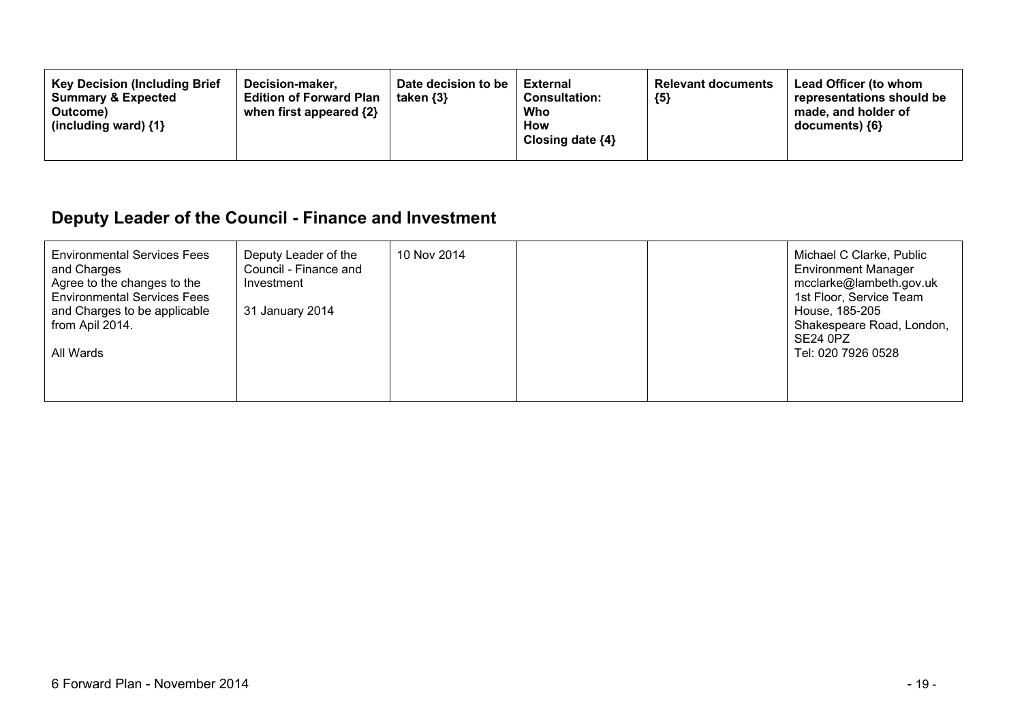| <b>Key Decision (Including Brief</b><br>Decision-maker.<br><b>Summary &amp; Expected</b><br><b>Edition of Forward Plan</b><br>taken $\{3\}$<br>when first appeared $\{2\}$<br>Outcome)<br>(including ward) $\{1\}$ | Date decision to be<br>External<br><b>Consultation:</b><br>Who<br>How<br>Closing date $\{4\}$ | <b>Relevant documents</b><br>${5}$ | <b>Lead Officer (to whom</b><br>representations should be<br>made, and holder of<br>$documents)$ {6} |
|--------------------------------------------------------------------------------------------------------------------------------------------------------------------------------------------------------------------|-----------------------------------------------------------------------------------------------|------------------------------------|------------------------------------------------------------------------------------------------------|
|--------------------------------------------------------------------------------------------------------------------------------------------------------------------------------------------------------------------|-----------------------------------------------------------------------------------------------|------------------------------------|------------------------------------------------------------------------------------------------------|

## **Deputy Leader of the Council - Finance and Investment**

| Agree to the changes to the<br>Investment<br><b>Environmental Services Fees</b><br>1st Floor, Service Team<br>and Charges to be applicable<br>House, 185-205<br>31 January 2014<br>from Apil 2014.<br>SE24 0PZ<br>All Wards<br>Tel: 020 7926 0528 | <b>Environmental Services Fees</b><br>and Charges | Deputy Leader of the<br>Council - Finance and | 10 Nov 2014 |  |  | Michael C Clarke, Public<br><b>Environment Manager</b><br>mcclarke@lambeth.gov.uk<br>Shakespeare Road, London, |
|---------------------------------------------------------------------------------------------------------------------------------------------------------------------------------------------------------------------------------------------------|---------------------------------------------------|-----------------------------------------------|-------------|--|--|----------------------------------------------------------------------------------------------------------------|
|---------------------------------------------------------------------------------------------------------------------------------------------------------------------------------------------------------------------------------------------------|---------------------------------------------------|-----------------------------------------------|-------------|--|--|----------------------------------------------------------------------------------------------------------------|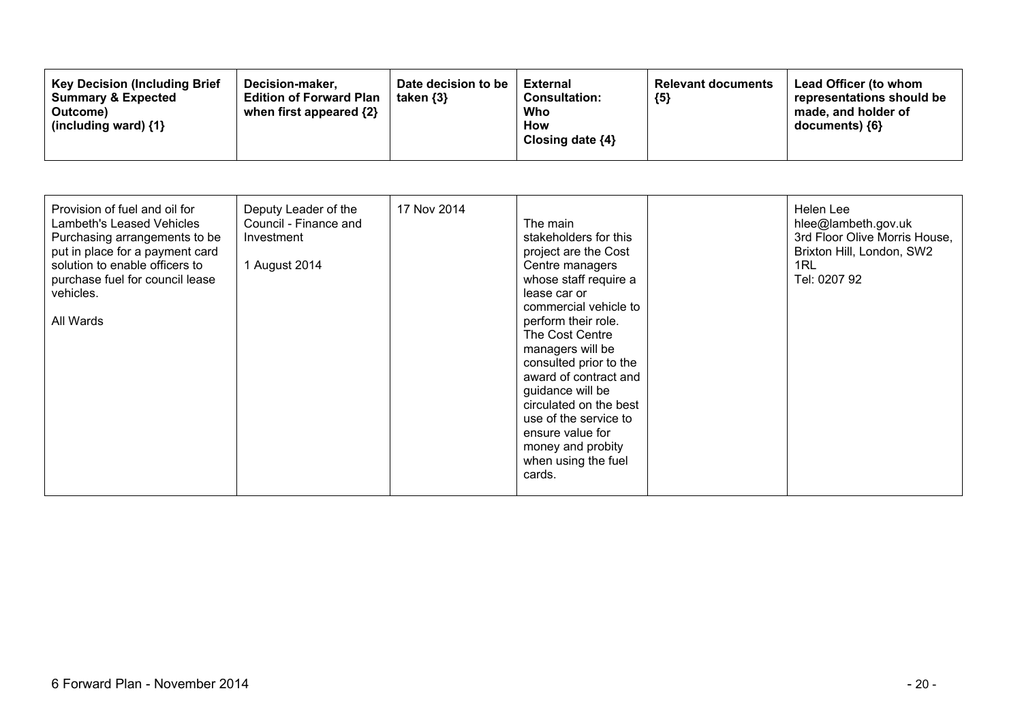| Provision of fuel and oil for<br>Deputy Leader of the<br>Council - Finance and<br>Lambeth's Leased Vehicles<br>Purchasing arrangements to be<br>Investment<br>put in place for a payment card<br>solution to enable officers to<br>1 August 2014<br>purchase fuel for council lease<br>vehicles.<br>All Wards | 17 Nov 2014 | The main<br>stakeholders for this<br>project are the Cost<br>Centre managers<br>whose staff require a<br>lease car or<br>commercial vehicle to<br>perform their role.<br>The Cost Centre<br>managers will be<br>consulted prior to the<br>award of contract and<br>guidance will be<br>circulated on the best<br>use of the service to<br>ensure value for<br>money and probity<br>when using the fuel<br>cards. |  | Helen Lee<br>hlee@lambeth.gov.uk<br>3rd Floor Olive Morris House,<br>Brixton Hill, London, SW2<br>1RL<br>Tel: 0207 92 |
|---------------------------------------------------------------------------------------------------------------------------------------------------------------------------------------------------------------------------------------------------------------------------------------------------------------|-------------|------------------------------------------------------------------------------------------------------------------------------------------------------------------------------------------------------------------------------------------------------------------------------------------------------------------------------------------------------------------------------------------------------------------|--|-----------------------------------------------------------------------------------------------------------------------|
|---------------------------------------------------------------------------------------------------------------------------------------------------------------------------------------------------------------------------------------------------------------------------------------------------------------|-------------|------------------------------------------------------------------------------------------------------------------------------------------------------------------------------------------------------------------------------------------------------------------------------------------------------------------------------------------------------------------------------------------------------------------|--|-----------------------------------------------------------------------------------------------------------------------|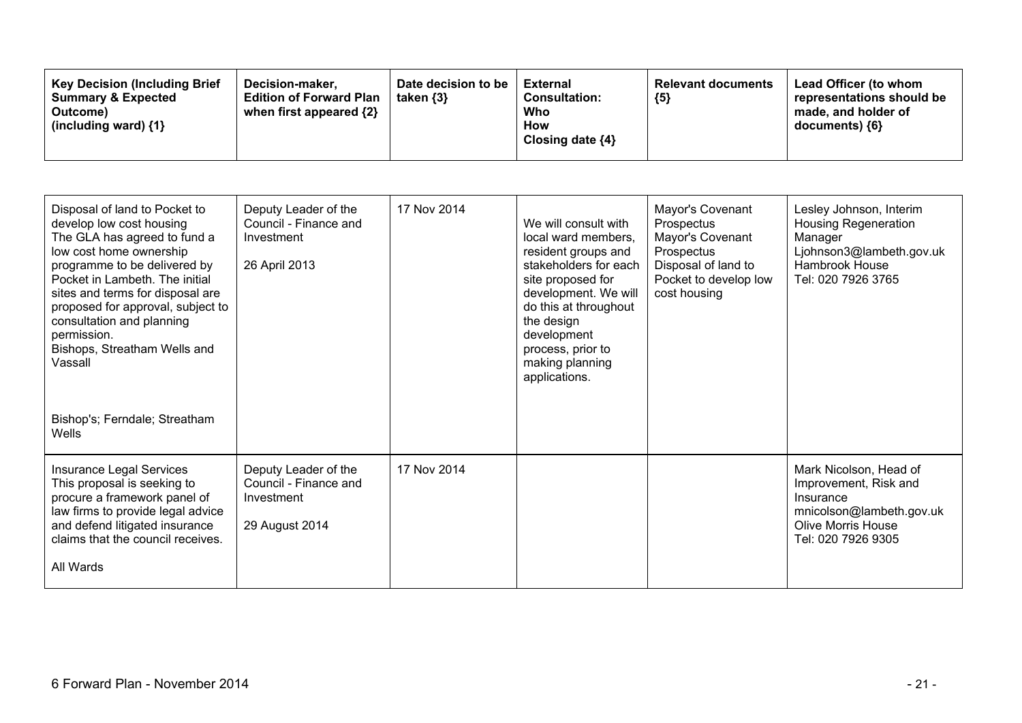| <b>Key Decision (Including Brief</b><br>Date decision to be<br>Decision-maker,<br><b>Summary &amp; Expected</b><br><b>Edition of Forward Plan</b><br>taken $\{3\}$<br>when first appeared {2}<br>Outcome)<br>(including ward) $\{1\}$ | <b>Relevant documents</b><br>External<br><b>Consultation:</b><br>${5}$<br>Who<br>How<br>Closing date $\{4\}$ | Lead Officer (to whom<br>representations should be<br>made, and holder of<br>documents) ${6}$ |
|---------------------------------------------------------------------------------------------------------------------------------------------------------------------------------------------------------------------------------------|--------------------------------------------------------------------------------------------------------------|-----------------------------------------------------------------------------------------------|
|---------------------------------------------------------------------------------------------------------------------------------------------------------------------------------------------------------------------------------------|--------------------------------------------------------------------------------------------------------------|-----------------------------------------------------------------------------------------------|

| Disposal of land to Pocket to<br>develop low cost housing<br>The GLA has agreed to fund a<br>low cost home ownership<br>programme to be delivered by<br>Pocket in Lambeth. The initial<br>sites and terms for disposal are<br>proposed for approval, subject to<br>consultation and planning<br>permission.<br>Bishops, Streatham Wells and<br>Vassall | Deputy Leader of the<br>Council - Finance and<br>Investment<br>26 April 2013  | 17 Nov 2014 | We will consult with<br>local ward members,<br>resident groups and<br>stakeholders for each<br>site proposed for<br>development. We will<br>do this at throughout<br>the design<br>development<br>process, prior to<br>making planning<br>applications. | Mayor's Covenant<br>Prospectus<br>Mayor's Covenant<br>Prospectus<br>Disposal of land to<br>Pocket to develop low<br>cost housing | Lesley Johnson, Interim<br><b>Housing Regeneration</b><br>Manager<br>Ljohnson3@lambeth.gov.uk<br>Hambrook House<br>Tel: 020 7926 3765       |
|--------------------------------------------------------------------------------------------------------------------------------------------------------------------------------------------------------------------------------------------------------------------------------------------------------------------------------------------------------|-------------------------------------------------------------------------------|-------------|---------------------------------------------------------------------------------------------------------------------------------------------------------------------------------------------------------------------------------------------------------|----------------------------------------------------------------------------------------------------------------------------------|---------------------------------------------------------------------------------------------------------------------------------------------|
| Bishop's; Ferndale; Streatham<br>Wells                                                                                                                                                                                                                                                                                                                 |                                                                               |             |                                                                                                                                                                                                                                                         |                                                                                                                                  |                                                                                                                                             |
| Insurance Legal Services<br>This proposal is seeking to<br>procure a framework panel of<br>law firms to provide legal advice<br>and defend litigated insurance<br>claims that the council receives.<br>All Wards                                                                                                                                       | Deputy Leader of the<br>Council - Finance and<br>Investment<br>29 August 2014 | 17 Nov 2014 |                                                                                                                                                                                                                                                         |                                                                                                                                  | Mark Nicolson, Head of<br>Improvement, Risk and<br>Insurance<br>mnicolson@lambeth.gov.uk<br><b>Olive Morris House</b><br>Tel: 020 7926 9305 |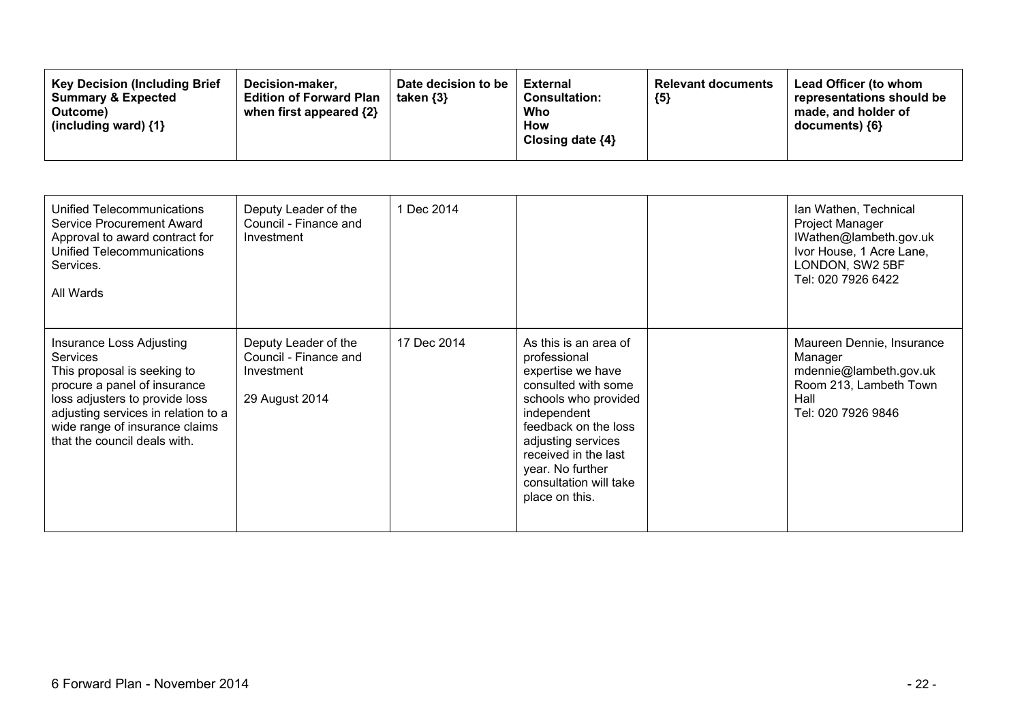| <b>Key Decision (Including Brief)</b><br><b>Summary &amp; Expected</b><br>Outcome)<br>(including ward) $\{1\}$ | Decision-maker.<br><b>Edition of Forward Plan</b><br>when first appeared {2} | Date decision to be<br>taken $\{3\}$ | External<br><b>Consultation:</b><br>Who<br>How<br>Closing date $\{4\}$ | <b>Relevant documents</b><br>${5}$ | Lead Officer (to whom<br>representations should be<br>made, and holder of<br>$documents)$ {6} |
|----------------------------------------------------------------------------------------------------------------|------------------------------------------------------------------------------|--------------------------------------|------------------------------------------------------------------------|------------------------------------|-----------------------------------------------------------------------------------------------|
|----------------------------------------------------------------------------------------------------------------|------------------------------------------------------------------------------|--------------------------------------|------------------------------------------------------------------------|------------------------------------|-----------------------------------------------------------------------------------------------|

| Unified Telecommunications<br>Service Procurement Award<br>Approval to award contract for<br>Unified Telecommunications<br>Services.<br>All Wards                                                                                                     | Deputy Leader of the<br>Council - Finance and<br>Investment                   | 1 Dec 2014  |                                                                                                                                                                                                                                                                | Ian Wathen, Technical<br>Project Manager<br>IWathen@lambeth.gov.uk<br>Ivor House, 1 Acre Lane,<br>LONDON, SW2 5BF<br>Tel: 020 7926 6422 |
|-------------------------------------------------------------------------------------------------------------------------------------------------------------------------------------------------------------------------------------------------------|-------------------------------------------------------------------------------|-------------|----------------------------------------------------------------------------------------------------------------------------------------------------------------------------------------------------------------------------------------------------------------|-----------------------------------------------------------------------------------------------------------------------------------------|
| Insurance Loss Adjusting<br><b>Services</b><br>This proposal is seeking to<br>procure a panel of insurance<br>loss adjusters to provide loss<br>adjusting services in relation to a<br>wide range of insurance claims<br>that the council deals with. | Deputy Leader of the<br>Council - Finance and<br>Investment<br>29 August 2014 | 17 Dec 2014 | As this is an area of<br>professional<br>expertise we have<br>consulted with some<br>schools who provided<br>independent<br>feedback on the loss<br>adjusting services<br>received in the last<br>year. No further<br>consultation will take<br>place on this. | Maureen Dennie, Insurance<br>Manager<br>mdennie@lambeth.gov.uk<br>Room 213, Lambeth Town<br>Hall<br>Tel: 020 7926 9846                  |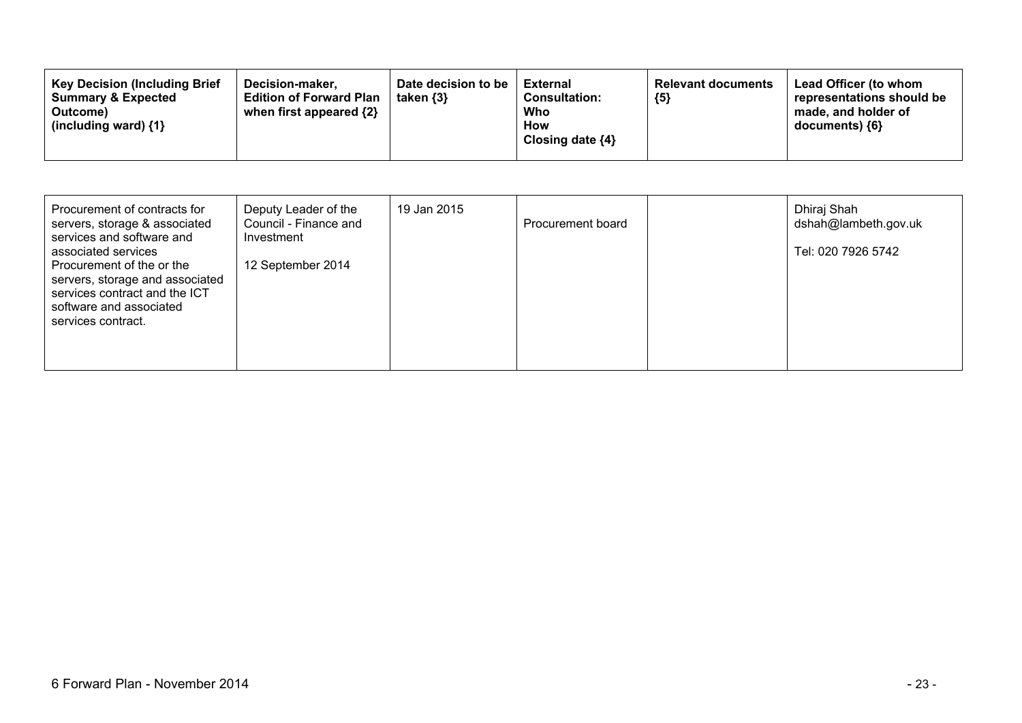| <b>Key Decision (Including Brief</b><br>Decision-maker.<br><b>Edition of Forward Plan</b><br><b>Summary &amp; Expected</b><br>when first appeared {2}<br>Outcome)<br>(including ward) $\{1\}$ | Date decision to be<br>taken $\{3\}$ | External<br><b>Consultation:</b><br>Who<br><b>How</b><br>Closing date $\{4\}$ | <b>Relevant documents</b><br>${5}$ | Lead Officer (to whom<br>representations should be<br>made, and holder of<br>documents) {6} |
|-----------------------------------------------------------------------------------------------------------------------------------------------------------------------------------------------|--------------------------------------|-------------------------------------------------------------------------------|------------------------------------|---------------------------------------------------------------------------------------------|
|-----------------------------------------------------------------------------------------------------------------------------------------------------------------------------------------------|--------------------------------------|-------------------------------------------------------------------------------|------------------------------------|---------------------------------------------------------------------------------------------|

| Procurement of contracts for<br>servers, storage & associated<br>services and software and<br>associated services<br>Procurement of the or the<br>servers, storage and associated<br>services contract and the ICT<br>software and associated<br>services contract. | Deputy Leader of the<br>Council - Finance and<br>Investment<br>12 September 2014 | 19 Jan 2015 | Procurement board |  | Dhiraj Shah<br>dshah@lambeth.gov.uk<br>Tel: 020 7926 5742 |
|---------------------------------------------------------------------------------------------------------------------------------------------------------------------------------------------------------------------------------------------------------------------|----------------------------------------------------------------------------------|-------------|-------------------|--|-----------------------------------------------------------|
|---------------------------------------------------------------------------------------------------------------------------------------------------------------------------------------------------------------------------------------------------------------------|----------------------------------------------------------------------------------|-------------|-------------------|--|-----------------------------------------------------------|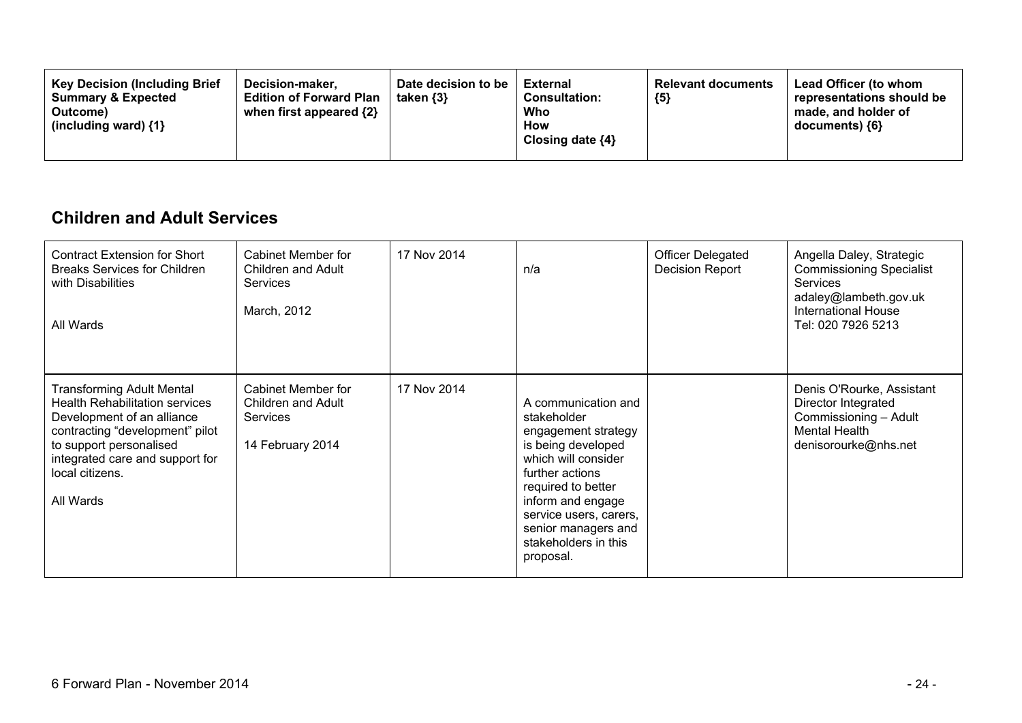| <b>Key Decision (Including Brief</b><br><b>Summary &amp; Expected</b><br>Outcome)<br>(including ward) $\{1\}$ | Decision-maker.<br><b>Edition of Forward Plan</b><br>when first appeared $\{2\}$ | Date decision to be<br>taken $\{3\}$ | External<br><b>Consultation:</b><br>Who<br>How<br>Closing date $\{4\}$ | <b>Relevant documents</b><br>${5}$ | Lead Officer (to whom<br>representations should be<br>made, and holder of<br>$documents)$ {6} |
|---------------------------------------------------------------------------------------------------------------|----------------------------------------------------------------------------------|--------------------------------------|------------------------------------------------------------------------|------------------------------------|-----------------------------------------------------------------------------------------------|
|---------------------------------------------------------------------------------------------------------------|----------------------------------------------------------------------------------|--------------------------------------|------------------------------------------------------------------------|------------------------------------|-----------------------------------------------------------------------------------------------|

### **Children and Adult Services**

| <b>Contract Extension for Short</b><br><b>Breaks Services for Children</b><br>with Disabilities<br>All Wards                                                                                                                             | Cabinet Member for<br>Children and Adult<br><b>Services</b><br>March, 2012      | 17 Nov 2014 | n/a                                                                                                                                                                                                                                                        | <b>Officer Delegated</b><br>Decision Report | Angella Daley, Strategic<br><b>Commissioning Specialist</b><br><b>Services</b><br>adaley@lambeth.gov.uk<br><b>International House</b><br>Tel: 020 7926 5213 |
|------------------------------------------------------------------------------------------------------------------------------------------------------------------------------------------------------------------------------------------|---------------------------------------------------------------------------------|-------------|------------------------------------------------------------------------------------------------------------------------------------------------------------------------------------------------------------------------------------------------------------|---------------------------------------------|-------------------------------------------------------------------------------------------------------------------------------------------------------------|
| <b>Transforming Adult Mental</b><br><b>Health Rehabilitation services</b><br>Development of an alliance<br>contracting "development" pilot<br>to support personalised<br>integrated care and support for<br>local citizens.<br>All Wards | Cabinet Member for<br><b>Children and Adult</b><br>Services<br>14 February 2014 | 17 Nov 2014 | A communication and<br>stakeholder<br>engagement strategy<br>is being developed<br>which will consider<br>further actions<br>required to better<br>inform and engage<br>service users, carers,<br>senior managers and<br>stakeholders in this<br>proposal. |                                             | Denis O'Rourke, Assistant<br>Director Integrated<br>Commissioning - Adult<br>Mental Health<br>denisorourke@nhs.net                                          |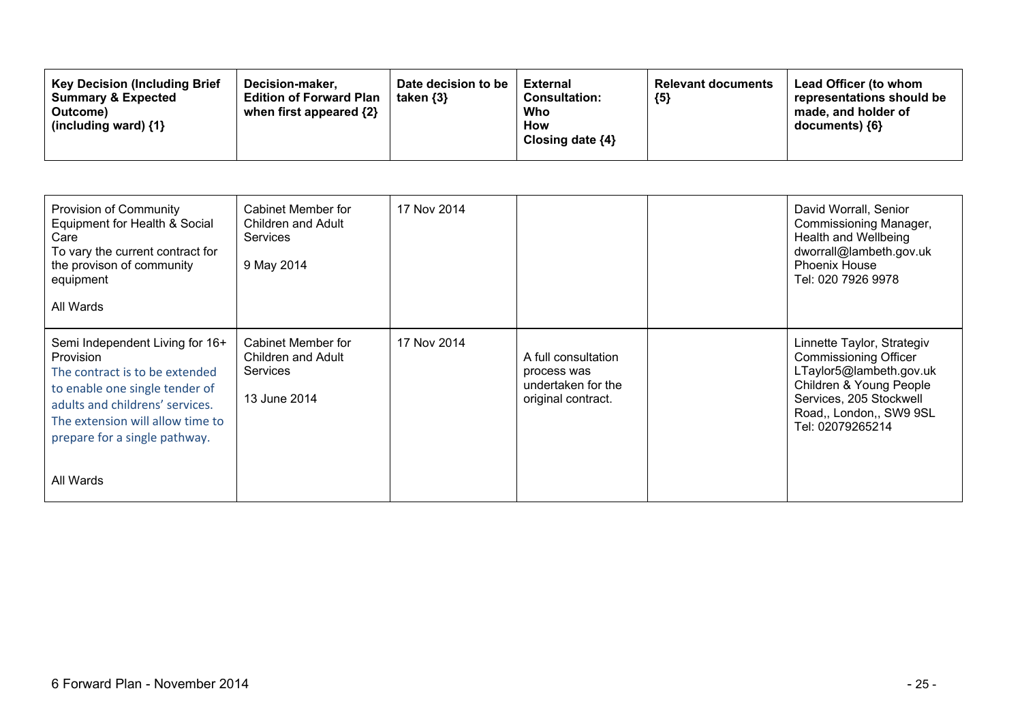| Provision of Community<br>Equipment for Health & Social<br>Care<br>To vary the current contract for<br>the provison of community<br>equipment<br>All Wards                                                                      | Cabinet Member for<br>Children and Adult<br><b>Services</b><br>9 May 2014   | 17 Nov 2014 |                                                                                | David Worrall, Senior<br>Commissioning Manager,<br>Health and Wellbeing<br>dworrall@lambeth.gov.uk<br><b>Phoenix House</b><br>Tel: 020 7926 9978                                           |
|---------------------------------------------------------------------------------------------------------------------------------------------------------------------------------------------------------------------------------|-----------------------------------------------------------------------------|-------------|--------------------------------------------------------------------------------|--------------------------------------------------------------------------------------------------------------------------------------------------------------------------------------------|
| Semi Independent Living for 16+<br><b>Provision</b><br>The contract is to be extended<br>to enable one single tender of<br>adults and childrens' services.<br>The extension will allow time to<br>prepare for a single pathway. | Cabinet Member for<br><b>Children and Adult</b><br>Services<br>13 June 2014 | 17 Nov 2014 | A full consultation<br>process was<br>undertaken for the<br>original contract. | Linnette Taylor, Strategiv<br><b>Commissioning Officer</b><br>LTaylor5@lambeth.gov.uk<br>Children & Young People<br>Services, 205 Stockwell<br>Road,, London,, SW9 9SL<br>Tel: 02079265214 |
| All Wards                                                                                                                                                                                                                       |                                                                             |             |                                                                                |                                                                                                                                                                                            |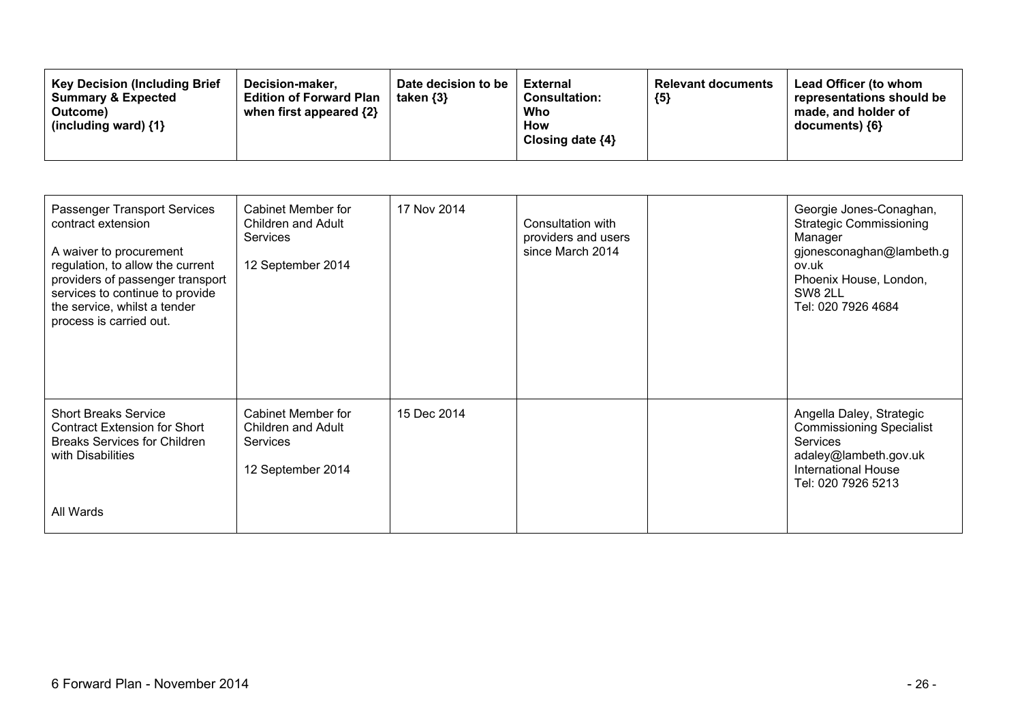| <b>Key Decision (Including Brief)</b><br><b>Summary &amp; Expected</b><br>Outcome)<br>(including ward) $\{1\}$ | Date decision to be<br>Decision-maker.<br><b>Edition of Forward Plan</b><br>taken $\{3\}$<br>when first appeared {2} | <b>External</b><br><b>Consultation:</b><br>Who<br>How<br>Closing date $\{4\}$ | <b>Relevant documents</b><br>${5}$ | Lead Officer (to whom<br>representations should be<br>made, and holder of<br>documents) ${6}$ |
|----------------------------------------------------------------------------------------------------------------|----------------------------------------------------------------------------------------------------------------------|-------------------------------------------------------------------------------|------------------------------------|-----------------------------------------------------------------------------------------------|
|----------------------------------------------------------------------------------------------------------------|----------------------------------------------------------------------------------------------------------------------|-------------------------------------------------------------------------------|------------------------------------|-----------------------------------------------------------------------------------------------|

| Passenger Transport Services<br>contract extension<br>A waiver to procurement<br>regulation, to allow the current<br>providers of passenger transport<br>services to continue to provide<br>the service, whilst a tender<br>process is carried out. | Cabinet Member for<br>Children and Adult<br><b>Services</b><br>12 September 2014 | 17 Nov 2014 | Consultation with<br>providers and users<br>since March 2014 | Georgie Jones-Conaghan,<br><b>Strategic Commissioning</b><br>Manager<br>gjonesconaghan@lambeth.g<br>ov.uk<br>Phoenix House, London,<br>SW8 2LL<br>Tel: 020 7926 4684 |
|-----------------------------------------------------------------------------------------------------------------------------------------------------------------------------------------------------------------------------------------------------|----------------------------------------------------------------------------------|-------------|--------------------------------------------------------------|----------------------------------------------------------------------------------------------------------------------------------------------------------------------|
| <b>Short Breaks Service</b><br><b>Contract Extension for Short</b><br><b>Breaks Services for Children</b><br>with Disabilities<br>All Wards                                                                                                         | Cabinet Member for<br>Children and Adult<br><b>Services</b><br>12 September 2014 | 15 Dec 2014 |                                                              | Angella Daley, Strategic<br><b>Commissioning Specialist</b><br><b>Services</b><br>adaley@lambeth.gov.uk<br><b>International House</b><br>Tel: 020 7926 5213          |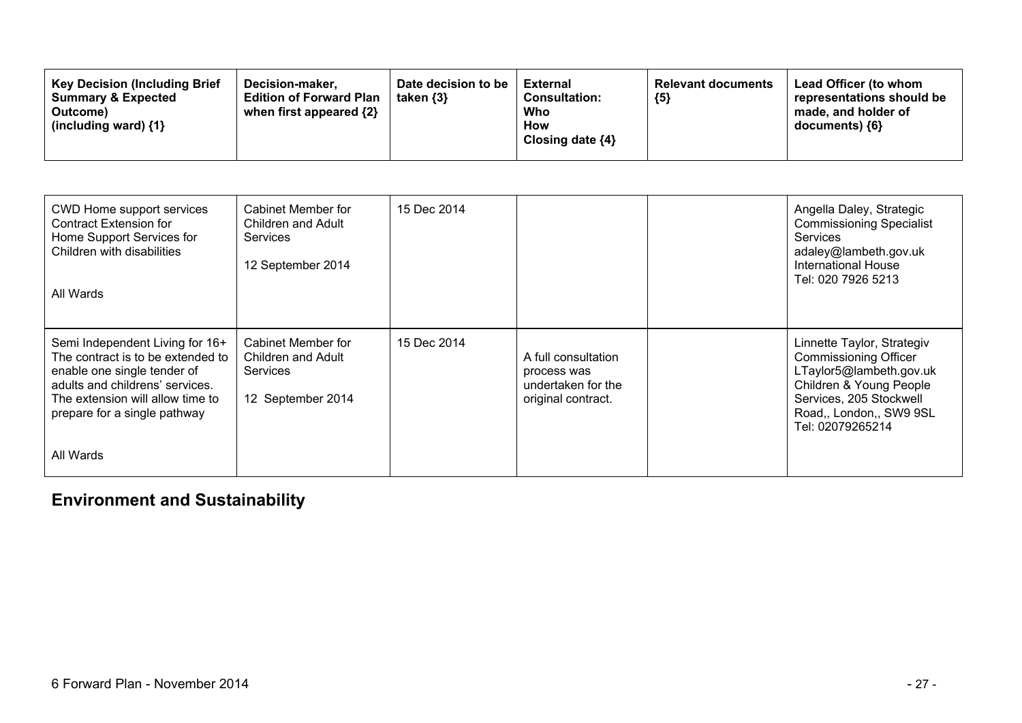| CWD Home support services<br><b>Contract Extension for</b><br>Home Support Services for<br>Children with disabilities<br>All Wards                                                                                      | Cabinet Member for<br>Children and Adult<br><b>Services</b><br>12 September 2014 | 15 Dec 2014 |                                                                                | Angella Daley, Strategic<br><b>Commissioning Specialist</b><br><b>Services</b><br>adaley@lambeth.gov.uk<br><b>International House</b><br>Tel: 020 7926 5213                                |
|-------------------------------------------------------------------------------------------------------------------------------------------------------------------------------------------------------------------------|----------------------------------------------------------------------------------|-------------|--------------------------------------------------------------------------------|--------------------------------------------------------------------------------------------------------------------------------------------------------------------------------------------|
| Semi Independent Living for 16+<br>The contract is to be extended to<br>enable one single tender of<br>adults and childrens' services.<br>The extension will allow time to<br>prepare for a single pathway<br>All Wards | Cabinet Member for<br>Children and Adult<br><b>Services</b><br>12 September 2014 | 15 Dec 2014 | A full consultation<br>process was<br>undertaken for the<br>original contract. | Linnette Taylor, Strategiv<br><b>Commissioning Officer</b><br>LTaylor5@lambeth.gov.uk<br>Children & Young People<br>Services, 205 Stockwell<br>Road,, London,, SW9 9SL<br>Tel: 02079265214 |

## **Environment and Sustainability**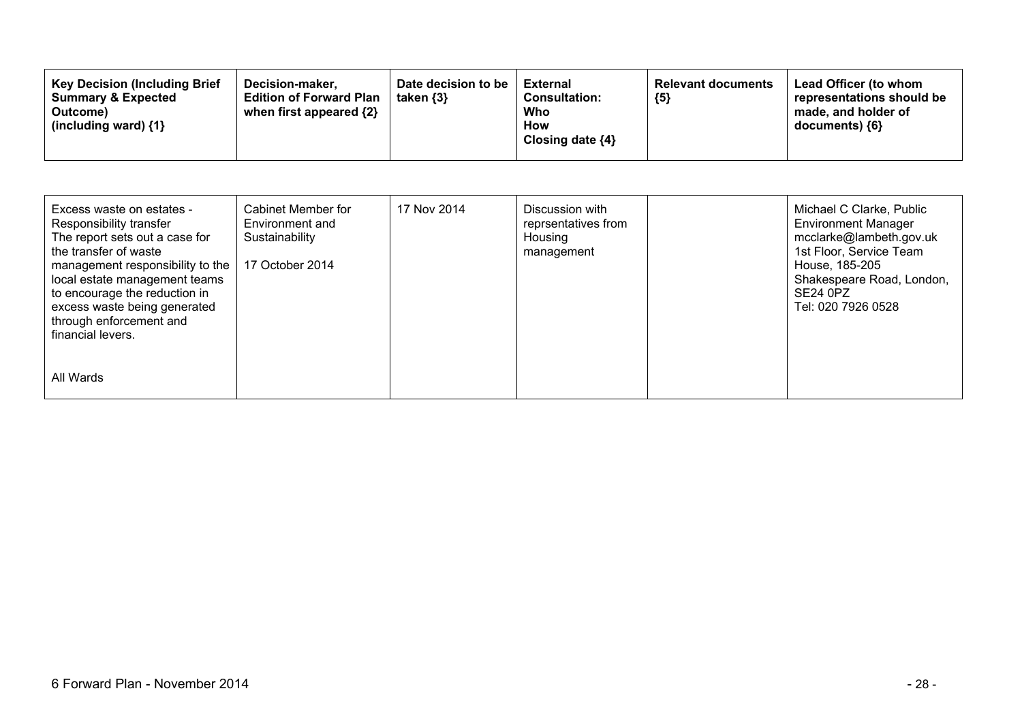| <b>Key Decision (Including Brief</b><br>Decision-maker.<br><b>Summary &amp; Expected</b><br><b>Edition of Forward Plan</b><br>when first appeared {2}<br>Outcome)<br>(including ward) $\{1\}$ | Date decision to be<br>taken $\{3\}$ | External<br><b>Consultation:</b><br>Who<br>How<br>Closing date $\{4\}$ | <b>Relevant documents</b><br>${5}$ | Lead Officer (to whom<br>representations should be<br>made, and holder of<br>$documents)$ {6} |
|-----------------------------------------------------------------------------------------------------------------------------------------------------------------------------------------------|--------------------------------------|------------------------------------------------------------------------|------------------------------------|-----------------------------------------------------------------------------------------------|
|-----------------------------------------------------------------------------------------------------------------------------------------------------------------------------------------------|--------------------------------------|------------------------------------------------------------------------|------------------------------------|-----------------------------------------------------------------------------------------------|

| Excess waste on estates -<br>Responsibility transfer<br>The report sets out a case for<br>the transfer of waste<br>management responsibility to the<br>local estate management teams<br>to encourage the reduction in<br>excess waste being generated<br>through enforcement and<br>financial levers. | Cabinet Member for<br>Environment and<br>Sustainability<br>17 October 2014 | 17 Nov 2014 | Discussion with<br>reprsentatives from<br>Housing<br>management | Michael C Clarke, Public<br><b>Environment Manager</b><br>mcclarke@lambeth.gov.uk<br>1st Floor, Service Team<br>House, 185-205<br>Shakespeare Road, London,<br>SE24 0PZ<br>Tel: 020 7926 0528 |
|-------------------------------------------------------------------------------------------------------------------------------------------------------------------------------------------------------------------------------------------------------------------------------------------------------|----------------------------------------------------------------------------|-------------|-----------------------------------------------------------------|-----------------------------------------------------------------------------------------------------------------------------------------------------------------------------------------------|
| All Wards                                                                                                                                                                                                                                                                                             |                                                                            |             |                                                                 |                                                                                                                                                                                               |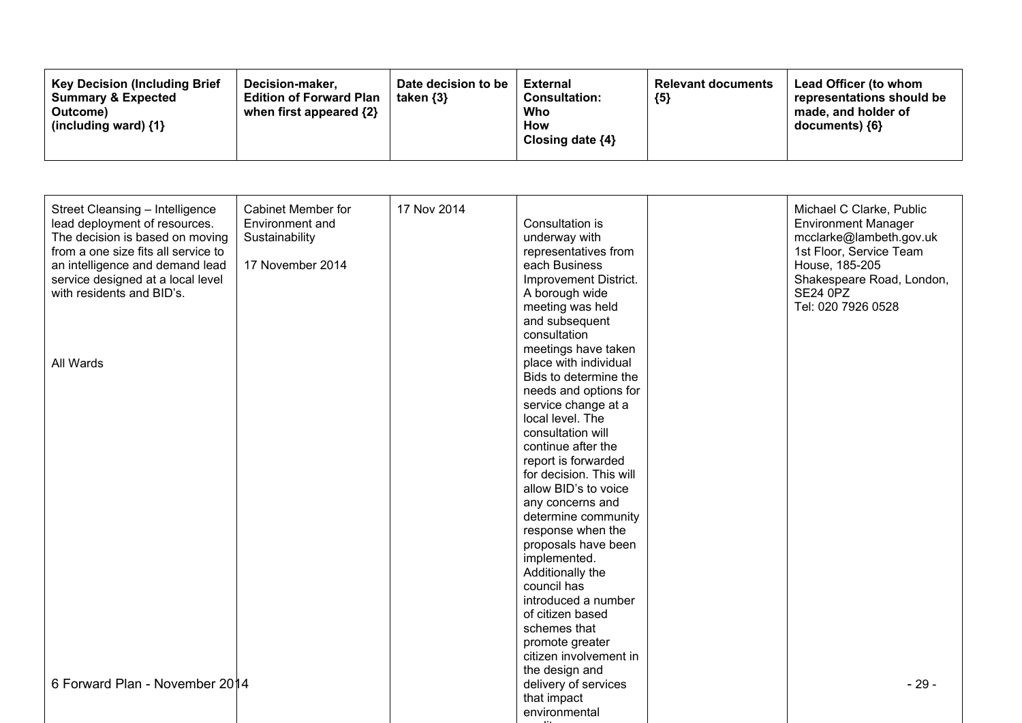| Street Cleansing - Intelligence<br>lead deployment of resources.<br>The decision is based on moving<br>from a one size fits all service to<br>an intelligence and demand lead<br>service designed at a local level<br>with residents and BID's. | <b>Cabinet Member for</b><br>Environment and<br>Sustainability<br>17 November 2014 | 17 Nov 2014 | Consultation is<br>underway with<br>representatives from<br>each Business<br>Improvement District.<br>A borough wide<br>meeting was held<br>and subsequent                                                                                                                                                                                                                                                                                                                          | Michael C Clarke, Public<br><b>Environment Manager</b><br>mcclarke@lambeth.gov.uk<br>1st Floor, Service Team<br>House, 185-205<br>Shakespeare Road, London,<br><b>SE24 0PZ</b><br>Tel: 020 7926 0528 |
|-------------------------------------------------------------------------------------------------------------------------------------------------------------------------------------------------------------------------------------------------|------------------------------------------------------------------------------------|-------------|-------------------------------------------------------------------------------------------------------------------------------------------------------------------------------------------------------------------------------------------------------------------------------------------------------------------------------------------------------------------------------------------------------------------------------------------------------------------------------------|------------------------------------------------------------------------------------------------------------------------------------------------------------------------------------------------------|
| All Wards                                                                                                                                                                                                                                       |                                                                                    |             | consultation<br>meetings have taken<br>place with individual<br>Bids to determine the<br>needs and options for<br>service change at a<br>local level. The<br>consultation will<br>continue after the<br>report is forwarded<br>for decision. This will<br>allow BID's to voice<br>any concerns and<br>determine community<br>response when the<br>proposals have been<br>implemented.<br>Additionally the<br>council has<br>introduced a number<br>of citizen based<br>schemes that |                                                                                                                                                                                                      |
| 6 Forward Plan - November 2014                                                                                                                                                                                                                  |                                                                                    |             | promote greater<br>citizen involvement in<br>the design and<br>delivery of services<br>that impact<br>environmental                                                                                                                                                                                                                                                                                                                                                                 | $-29-$                                                                                                                                                                                               |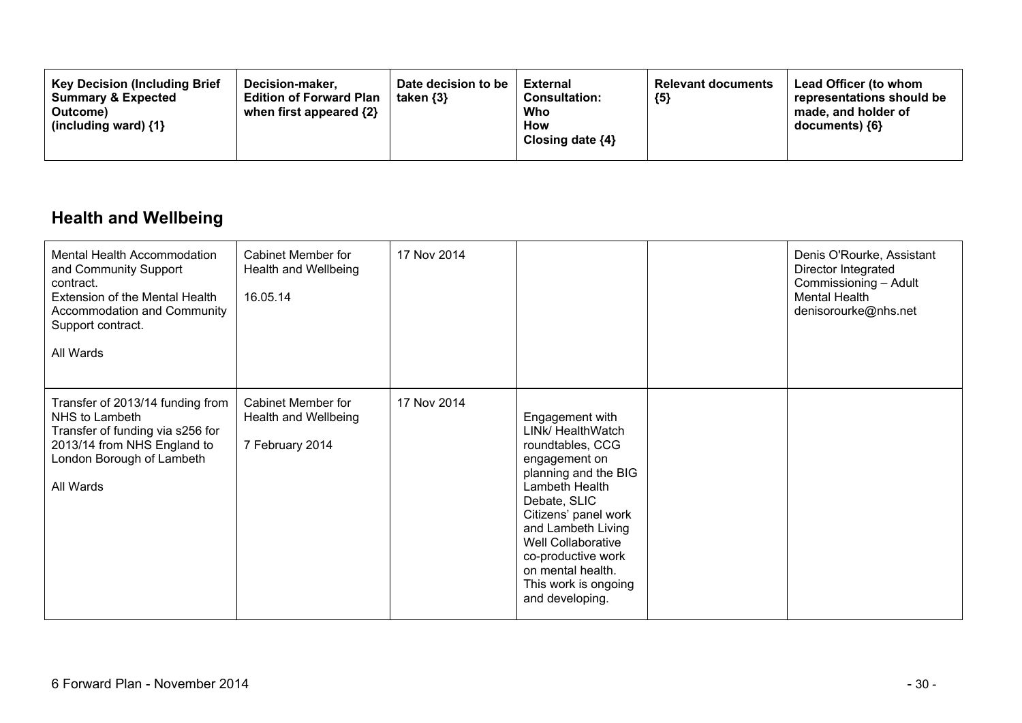| <b>Key Decision (Including Brief</b><br><b>Summary &amp; Expected</b><br>Outcome)<br>(including ward) $\{1\}$ | Decision-maker.<br><b>Edition of Forward Plan</b><br>when first appeared $\{2\}$ | Date decision to be<br>taken $\{3\}$ | External<br><b>Consultation:</b><br>Who<br>How<br>Closing date $\{4\}$ | <b>Relevant documents</b><br>${5}$ | Lead Officer (to whom<br>representations should be<br>made, and holder of<br>$documents)$ {6} |
|---------------------------------------------------------------------------------------------------------------|----------------------------------------------------------------------------------|--------------------------------------|------------------------------------------------------------------------|------------------------------------|-----------------------------------------------------------------------------------------------|
|---------------------------------------------------------------------------------------------------------------|----------------------------------------------------------------------------------|--------------------------------------|------------------------------------------------------------------------|------------------------------------|-----------------------------------------------------------------------------------------------|

## **Health and Wellbeing**

| Mental Health Accommodation<br>and Community Support<br>contract.<br><b>Extension of the Mental Health</b><br>Accommodation and Community<br>Support contract.<br>All Wards | Cabinet Member for<br>Health and Wellbeing<br>16.05.14               | 17 Nov 2014 |                                                                                                                                                                                                                                                                                               | Denis O'Rourke, Assistant<br>Director Integrated<br>Commissioning - Adult<br>Mental Health<br>denisorourke@nhs.net |
|-----------------------------------------------------------------------------------------------------------------------------------------------------------------------------|----------------------------------------------------------------------|-------------|-----------------------------------------------------------------------------------------------------------------------------------------------------------------------------------------------------------------------------------------------------------------------------------------------|--------------------------------------------------------------------------------------------------------------------|
| Transfer of 2013/14 funding from<br>NHS to Lambeth<br>Transfer of funding via s256 for<br>2013/14 from NHS England to<br>London Borough of Lambeth<br>All Wards             | <b>Cabinet Member for</b><br>Health and Wellbeing<br>7 February 2014 | 17 Nov 2014 | Engagement with<br>LINK/ HealthWatch<br>roundtables, CCG<br>engagement on<br>planning and the BIG<br>Lambeth Health<br>Debate, SLIC<br>Citizens' panel work<br>and Lambeth Living<br>Well Collaborative<br>co-productive work<br>on mental health.<br>This work is ongoing<br>and developing. |                                                                                                                    |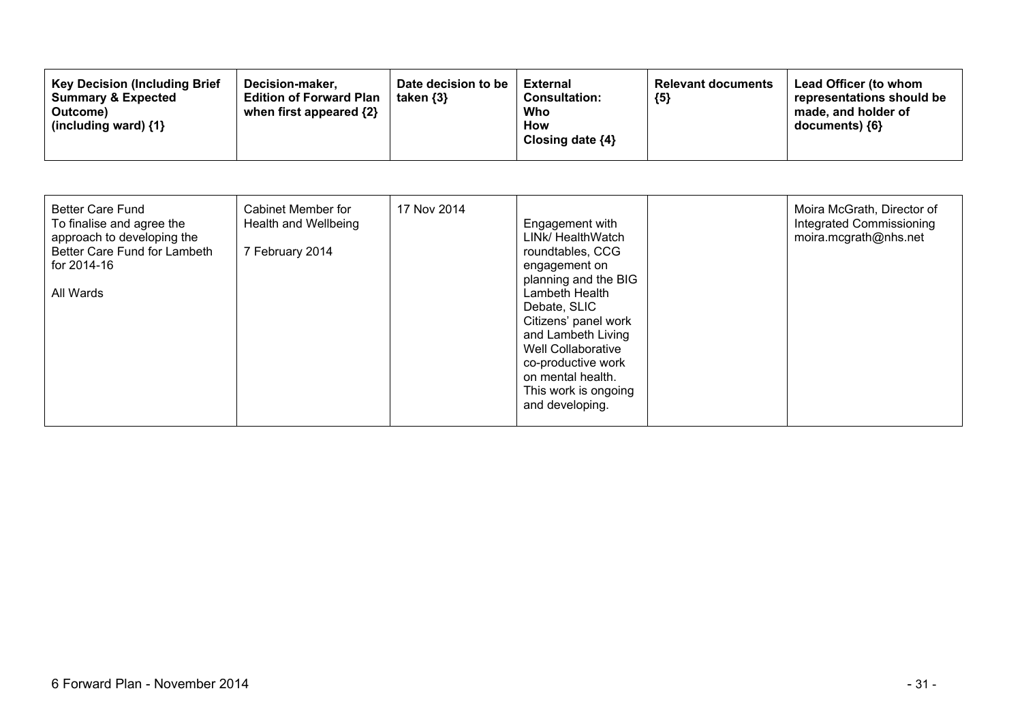| <b>Better Care Fund</b><br>To finalise and agree the<br>approach to developing the<br>Better Care Fund for Lambeth<br>for 2014-16<br>All Wards | Cabinet Member for<br>Health and Wellbeing<br>7 February 2014 | 17 Nov 2014 | Engagement with<br>LINK/ HealthWatch<br>roundtables, CCG<br>engagement on<br>planning and the BIG<br>Lambeth Health<br>Debate, SLIC<br>Citizens' panel work<br>and Lambeth Living<br>Well Collaborative<br>co-productive work<br>on mental health.<br>This work is ongoing<br>and developing. |  | Moira McGrath, Director of<br>Integrated Commissioning<br>moira.mcgrath@nhs.net |
|------------------------------------------------------------------------------------------------------------------------------------------------|---------------------------------------------------------------|-------------|-----------------------------------------------------------------------------------------------------------------------------------------------------------------------------------------------------------------------------------------------------------------------------------------------|--|---------------------------------------------------------------------------------|
|------------------------------------------------------------------------------------------------------------------------------------------------|---------------------------------------------------------------|-------------|-----------------------------------------------------------------------------------------------------------------------------------------------------------------------------------------------------------------------------------------------------------------------------------------------|--|---------------------------------------------------------------------------------|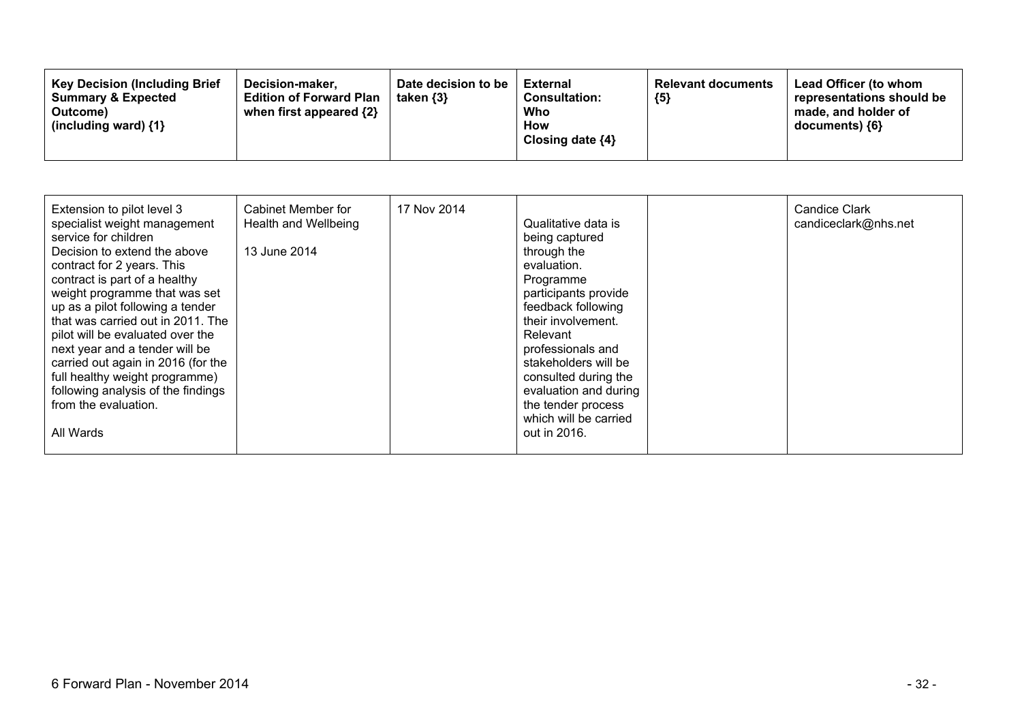| Extension to pilot level 3<br>specialist weight management<br>service for children<br>Decision to extend the above<br>contract for 2 years. This<br>contract is part of a healthy<br>weight programme that was set<br>up as a pilot following a tender<br>that was carried out in 2011. The<br>pilot will be evaluated over the<br>next year and a tender will be<br>carried out again in 2016 (for the<br>full healthy weight programme)<br>following analysis of the findings<br>from the evaluation.<br>All Wards | Cabinet Member for<br>Health and Wellbeing<br>13 June 2014 | 17 Nov 2014 | Qualitative data is<br>being captured<br>through the<br>evaluation.<br>Programme<br>participants provide<br>feedback following<br>their involvement.<br>Relevant<br>professionals and<br>stakeholders will be<br>consulted during the<br>evaluation and during<br>the tender process<br>which will be carried<br>out in 2016. |  | <b>Candice Clark</b><br>candiceclark@nhs.net |
|----------------------------------------------------------------------------------------------------------------------------------------------------------------------------------------------------------------------------------------------------------------------------------------------------------------------------------------------------------------------------------------------------------------------------------------------------------------------------------------------------------------------|------------------------------------------------------------|-------------|-------------------------------------------------------------------------------------------------------------------------------------------------------------------------------------------------------------------------------------------------------------------------------------------------------------------------------|--|----------------------------------------------|
|----------------------------------------------------------------------------------------------------------------------------------------------------------------------------------------------------------------------------------------------------------------------------------------------------------------------------------------------------------------------------------------------------------------------------------------------------------------------------------------------------------------------|------------------------------------------------------------|-------------|-------------------------------------------------------------------------------------------------------------------------------------------------------------------------------------------------------------------------------------------------------------------------------------------------------------------------------|--|----------------------------------------------|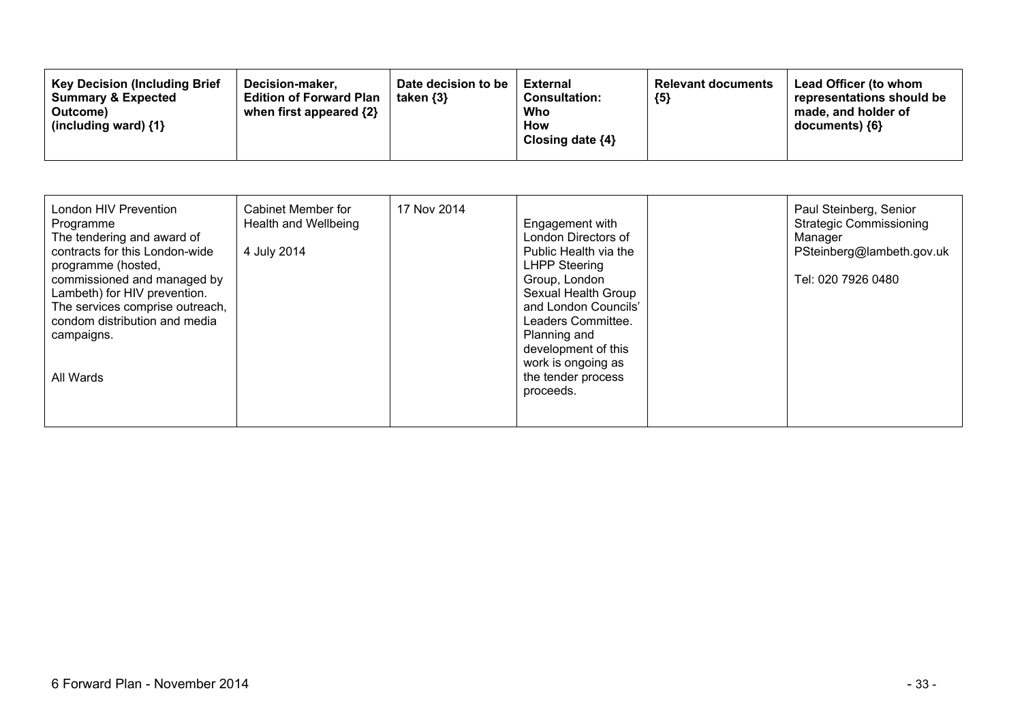| <b>Key Decision (Including Brief)</b><br>Decision-maker.<br><b>Summary &amp; Expected</b><br><b>Edition of Forward Plan</b><br>when first appeared $\{2\}$<br>Outcome)<br>(including ward) $\{1\}$ | Date decision to be<br><b>External</b><br><b>Consultation:</b><br>Who<br>How<br>Closing date $\{4\}$ | taken {3} | <b>Relevant documents</b><br>${5}$ | Lead Officer (to whom<br>representations should be<br>made, and holder of<br>$documents)$ {6} |
|----------------------------------------------------------------------------------------------------------------------------------------------------------------------------------------------------|------------------------------------------------------------------------------------------------------|-----------|------------------------------------|-----------------------------------------------------------------------------------------------|
|----------------------------------------------------------------------------------------------------------------------------------------------------------------------------------------------------|------------------------------------------------------------------------------------------------------|-----------|------------------------------------|-----------------------------------------------------------------------------------------------|

| London HIV Prevention<br>Programme<br>The tendering and award of<br>contracts for this London-wide<br>programme (hosted,<br>commissioned and managed by<br>Lambeth) for HIV prevention.<br>The services comprise outreach,<br>condom distribution and media<br>campaigns.<br>All Wards | Cabinet Member for<br>Health and Wellbeing<br>4 July 2014 | 17 Nov 2014 | Engagement with<br>London Directors of<br>Public Health via the<br><b>LHPP Steering</b><br>Group, London<br>Sexual Health Group<br>and London Councils'<br>Leaders Committee.<br>Planning and<br>development of this<br>work is ongoing as<br>the tender process<br>proceeds. |  | Paul Steinberg, Senior<br><b>Strategic Commissioning</b><br>Manager<br>PSteinberg@lambeth.gov.uk<br>Tel: 020 7926 0480 |
|----------------------------------------------------------------------------------------------------------------------------------------------------------------------------------------------------------------------------------------------------------------------------------------|-----------------------------------------------------------|-------------|-------------------------------------------------------------------------------------------------------------------------------------------------------------------------------------------------------------------------------------------------------------------------------|--|------------------------------------------------------------------------------------------------------------------------|
|----------------------------------------------------------------------------------------------------------------------------------------------------------------------------------------------------------------------------------------------------------------------------------------|-----------------------------------------------------------|-------------|-------------------------------------------------------------------------------------------------------------------------------------------------------------------------------------------------------------------------------------------------------------------------------|--|------------------------------------------------------------------------------------------------------------------------|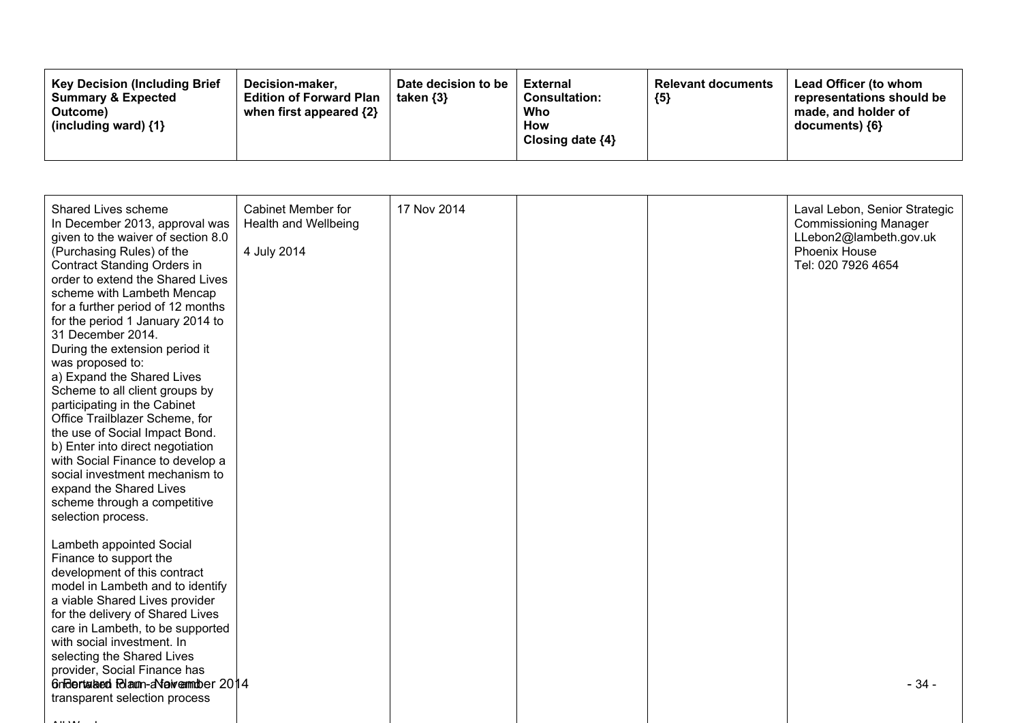| <b>Key Decision (Including Brief</b><br>Decision-maker.<br><b>Summary &amp; Expected</b><br><b>Edition of Forward Plan</b><br>when first appeared $\{2\}$<br>Outcome)<br>(including ward) $\{1\}$ | Date decision to be<br>taken {3} | <b>External</b><br><b>Consultation:</b><br>Who<br>How<br>Closing date $\{4\}$ | <b>Relevant documents</b><br>${5}$ | <b>Lead Officer (to whom</b><br>representations should be<br>made, and holder of<br>documents) ${6}$ |
|---------------------------------------------------------------------------------------------------------------------------------------------------------------------------------------------------|----------------------------------|-------------------------------------------------------------------------------|------------------------------------|------------------------------------------------------------------------------------------------------|
|---------------------------------------------------------------------------------------------------------------------------------------------------------------------------------------------------|----------------------------------|-------------------------------------------------------------------------------|------------------------------------|------------------------------------------------------------------------------------------------------|

| Shared Lives scheme<br>In December 2013, approval was<br>given to the waiver of section 8.0<br>(Purchasing Rules) of the<br><b>Contract Standing Orders in</b><br>order to extend the Shared Lives<br>scheme with Lambeth Mencap<br>for a further period of 12 months<br>for the period 1 January 2014 to<br>31 December 2014.<br>During the extension period it<br>was proposed to:<br>a) Expand the Shared Lives<br>Scheme to all client groups by<br>participating in the Cabinet<br>Office Trailblazer Scheme, for<br>the use of Social Impact Bond.<br>b) Enter into direct negotiation<br>with Social Finance to develop a<br>social investment mechanism to<br>expand the Shared Lives<br>scheme through a competitive<br>selection process.<br>Lambeth appointed Social<br>Finance to support the | <b>Cabinet Member for</b><br>Health and Wellbeing<br>4 July 2014 | 17 Nov 2014 |  | Laval Lebon, Senior Strategic<br><b>Commissioning Manager</b><br>LLebon2@lambeth.gov.uk<br>Phoenix House<br>Tel: 020 7926 4654 |
|-----------------------------------------------------------------------------------------------------------------------------------------------------------------------------------------------------------------------------------------------------------------------------------------------------------------------------------------------------------------------------------------------------------------------------------------------------------------------------------------------------------------------------------------------------------------------------------------------------------------------------------------------------------------------------------------------------------------------------------------------------------------------------------------------------------|------------------------------------------------------------------|-------------|--|--------------------------------------------------------------------------------------------------------------------------------|
| development of this contract<br>model in Lambeth and to identify<br>a viable Shared Lives provider<br>for the delivery of Shared Lives<br>care in Lambeth, to be supported<br>with social investment. In<br>selecting the Shared Lives                                                                                                                                                                                                                                                                                                                                                                                                                                                                                                                                                                    |                                                                  |             |  |                                                                                                                                |
| provider, Social Finance has<br>6ndertaked Felaum-aNewermuber 2014<br>transparent selection process                                                                                                                                                                                                                                                                                                                                                                                                                                                                                                                                                                                                                                                                                                       |                                                                  |             |  | $-34-$                                                                                                                         |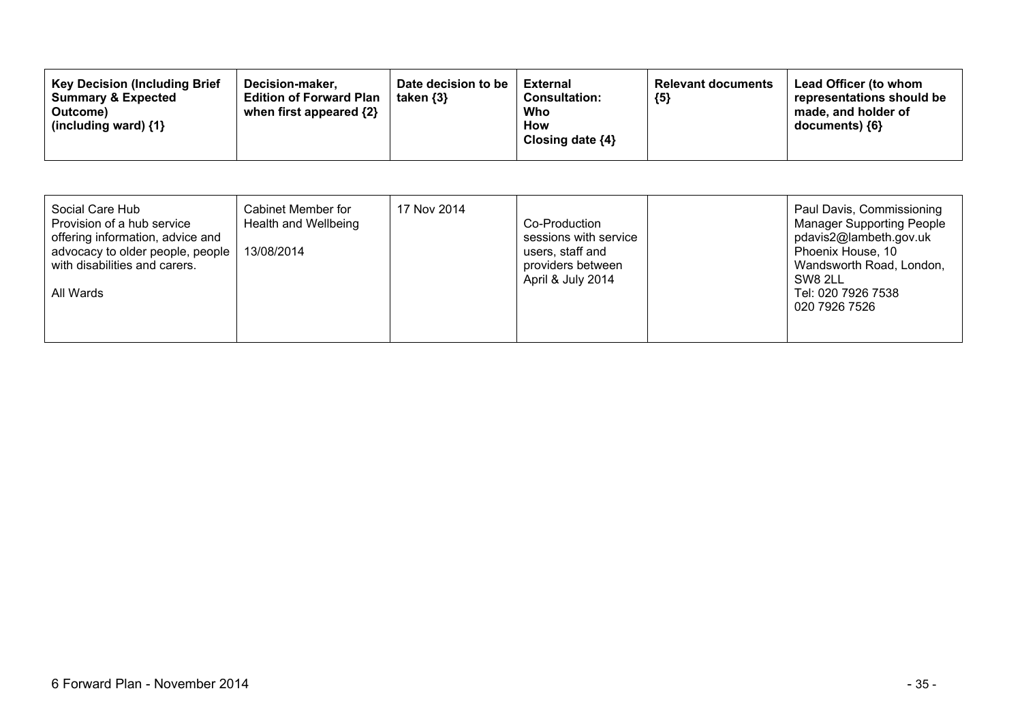| <b>Key Decision (Including Brief</b><br>Decision-maker.<br><b>Summary &amp; Expected</b><br><b>Edition of Forward Plan</b><br>when first appeared $\{2\}$<br>Outcome)<br>(including ward) $\{1\}$ | Date decision to be<br>taken $\{3\}$ | External<br><b>Consultation:</b><br>Who<br>How<br>Closing date $\{4\}$ | <b>Relevant documents</b><br>${5}$ | Lead Officer (to whom<br>representations should be<br>made, and holder of<br>$documents)$ {6} |
|---------------------------------------------------------------------------------------------------------------------------------------------------------------------------------------------------|--------------------------------------|------------------------------------------------------------------------|------------------------------------|-----------------------------------------------------------------------------------------------|
|---------------------------------------------------------------------------------------------------------------------------------------------------------------------------------------------------|--------------------------------------|------------------------------------------------------------------------|------------------------------------|-----------------------------------------------------------------------------------------------|

| Social Care Hub<br>Cabinet Member for<br>17 Nov 2014<br>Provision of a hub service<br>Health and Wellbeing<br>offering information, advice and<br>advocacy to older people, people<br>13/08/2014<br>with disabilities and carers.<br>All Wards | Co-Production<br>sessions with service<br>users, staff and<br>providers between<br>April & July 2014 | Paul Davis, Commissioning<br><b>Manager Supporting People</b><br>pdavis2@lambeth.gov.uk<br>Phoenix House, 10<br>Wandsworth Road, London,<br>SW8 2LL<br>Tel: 020 7926 7538<br>020 7926 7526 |
|------------------------------------------------------------------------------------------------------------------------------------------------------------------------------------------------------------------------------------------------|------------------------------------------------------------------------------------------------------|--------------------------------------------------------------------------------------------------------------------------------------------------------------------------------------------|
|------------------------------------------------------------------------------------------------------------------------------------------------------------------------------------------------------------------------------------------------|------------------------------------------------------------------------------------------------------|--------------------------------------------------------------------------------------------------------------------------------------------------------------------------------------------|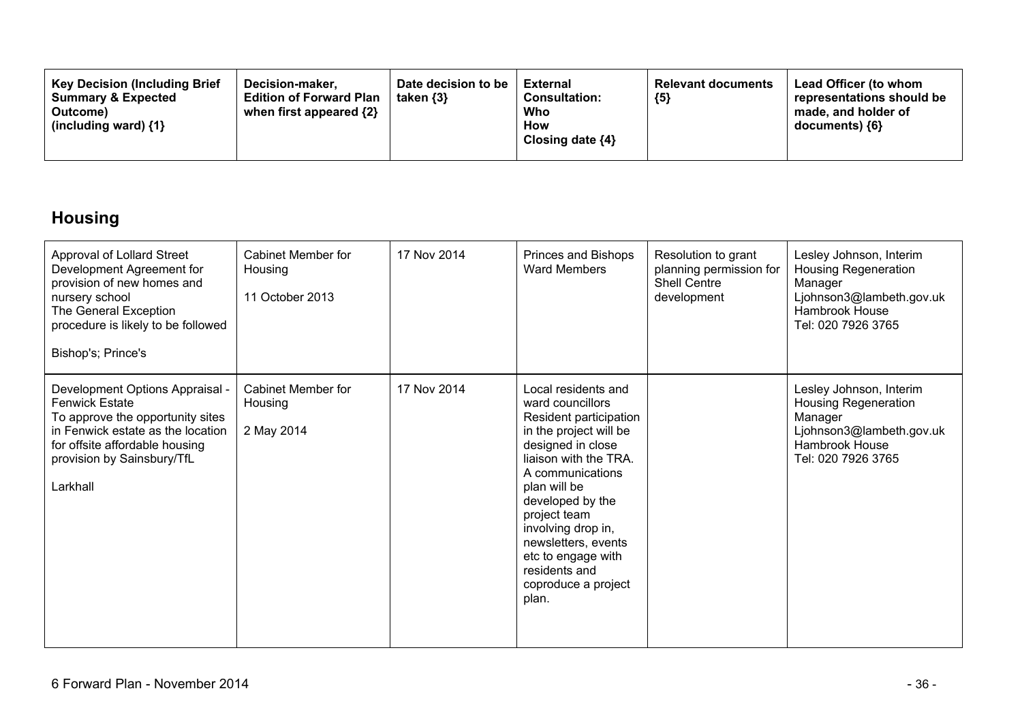| <b>Key Decision (Including Brief)</b><br><b>Summary &amp; Expected</b><br>Outcome)<br>(including ward) $\{1\}$ | Decision-maker.<br><b>Edition of Forward Plan</b><br>when first appeared {2} | Date decision to be<br>taken $\{3\}$ | <b>External</b><br><b>Consultation:</b><br>Who<br><b>How</b><br>Closing date $\{4\}$ | <b>Relevant documents</b><br>${5}$ | Lead Officer (to whom<br>representations should be<br>made, and holder of<br>$documents)$ {6} |
|----------------------------------------------------------------------------------------------------------------|------------------------------------------------------------------------------|--------------------------------------|--------------------------------------------------------------------------------------|------------------------------------|-----------------------------------------------------------------------------------------------|
|----------------------------------------------------------------------------------------------------------------|------------------------------------------------------------------------------|--------------------------------------|--------------------------------------------------------------------------------------|------------------------------------|-----------------------------------------------------------------------------------------------|

## **Housing**

| Approval of Lollard Street<br>Development Agreement for<br>provision of new homes and<br>nursery school<br>The General Exception<br>procedure is likely to be followed<br>Bishop's; Prince's                  | Cabinet Member for<br>Housing<br>11 October 2013   | 17 Nov 2014 | Princes and Bishops<br><b>Ward Members</b>                                                                                                                                                                                                                                                                                            | Resolution to grant<br>planning permission for<br><b>Shell Centre</b><br>development | Lesley Johnson, Interim<br><b>Housing Regeneration</b><br>Manager<br>Ljohnson3@lambeth.gov.uk<br>Hambrook House<br>Tel: 020 7926 3765        |
|---------------------------------------------------------------------------------------------------------------------------------------------------------------------------------------------------------------|----------------------------------------------------|-------------|---------------------------------------------------------------------------------------------------------------------------------------------------------------------------------------------------------------------------------------------------------------------------------------------------------------------------------------|--------------------------------------------------------------------------------------|----------------------------------------------------------------------------------------------------------------------------------------------|
| Development Options Appraisal -<br><b>Fenwick Estate</b><br>To approve the opportunity sites<br>in Fenwick estate as the location<br>for offsite affordable housing<br>provision by Sainsbury/TfL<br>Larkhall | <b>Cabinet Member for</b><br>Housing<br>2 May 2014 | 17 Nov 2014 | Local residents and<br>ward councillors<br>Resident participation<br>in the project will be<br>designed in close<br>liaison with the TRA.<br>A communications<br>plan will be<br>developed by the<br>project team<br>involving drop in,<br>newsletters, events<br>etc to engage with<br>residents and<br>coproduce a project<br>plan. |                                                                                      | Lesley Johnson, Interim<br><b>Housing Regeneration</b><br>Manager<br>Ljohnson3@lambeth.gov.uk<br><b>Hambrook House</b><br>Tel: 020 7926 3765 |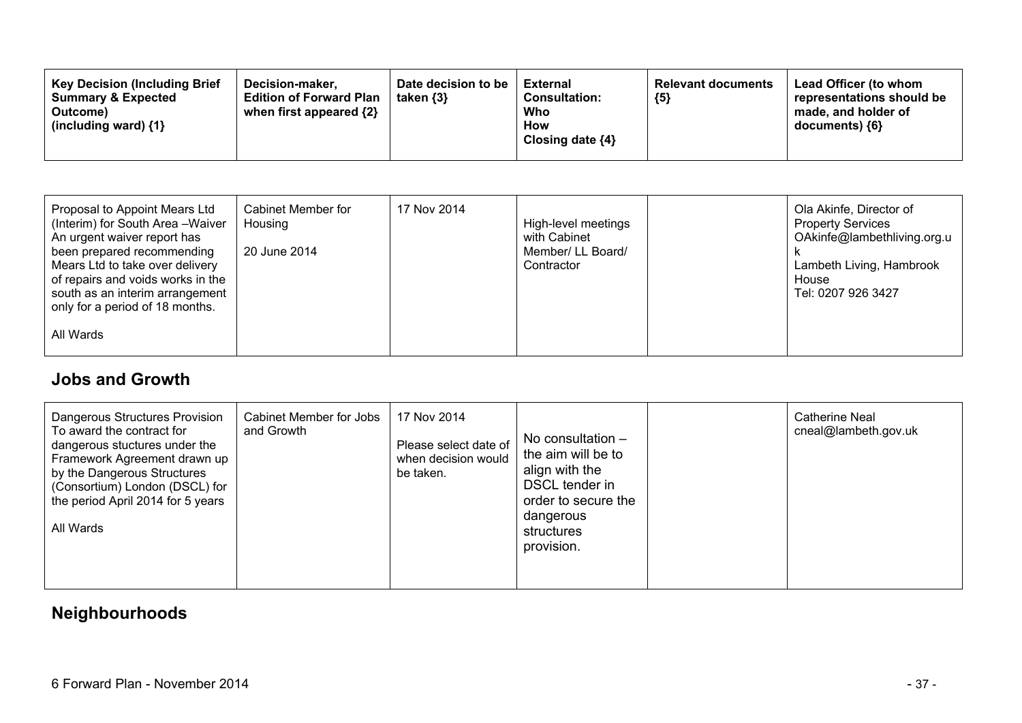| Date decision to be<br><b>Key Decision (Including Brief</b><br>Decision-maker.<br><b>Summary &amp; Expected</b><br><b>Edition of Forward Plan</b><br>taken {3}<br>when first appeared {2}<br>Outcome)<br>(including ward) $\{1\}$ | <b>External</b><br><b>Consultation:</b><br>Who<br>How<br>Closing date $\{4\}$ | <b>Relevant documents</b><br>${5}$ | Lead Officer (to whom<br>representations should be<br>made, and holder of<br>documents) {6} |
|-----------------------------------------------------------------------------------------------------------------------------------------------------------------------------------------------------------------------------------|-------------------------------------------------------------------------------|------------------------------------|---------------------------------------------------------------------------------------------|
|-----------------------------------------------------------------------------------------------------------------------------------------------------------------------------------------------------------------------------------|-------------------------------------------------------------------------------|------------------------------------|---------------------------------------------------------------------------------------------|

| Cabinet Member for<br>Proposal to Appoint Mears Ltd<br>(Interim) for South Area - Waiver<br>Housing<br>An urgent waiver report has<br>been prepared recommending<br>20 June 2014<br>Mears Ltd to take over delivery<br>of repairs and voids works in the<br>south as an interim arrangement<br>only for a period of 18 months.<br>All Wards | 17 Nov 2014 | High-level meetings<br>with Cabinet<br>Member/ LL Board/<br>Contractor |  | Ola Akinfe, Director of<br><b>Property Services</b><br>OAkinfe@lambethliving.org.u<br>Lambeth Living, Hambrook<br>House<br>Tel: 0207 926 3427 |
|---------------------------------------------------------------------------------------------------------------------------------------------------------------------------------------------------------------------------------------------------------------------------------------------------------------------------------------------|-------------|------------------------------------------------------------------------|--|-----------------------------------------------------------------------------------------------------------------------------------------------|
|---------------------------------------------------------------------------------------------------------------------------------------------------------------------------------------------------------------------------------------------------------------------------------------------------------------------------------------------|-------------|------------------------------------------------------------------------|--|-----------------------------------------------------------------------------------------------------------------------------------------------|

### **Jobs and Growth**

| Dangerous Structures Provision<br>Cabinet Member for Jobs<br>To award the contract for<br>and Growth<br>dangerous stuctures under the<br>Framework Agreement drawn up<br>by the Dangerous Structures<br>(Consortium) London (DSCL) for<br>the period April 2014 for 5 years<br>All Wards | 17 Nov 2014<br>Please select date of<br>when decision would<br>be taken. | No consultation $-$<br>the aim will be to<br>align with the<br>DSCL tender in<br>order to secure the<br>dangerous<br>structures<br>provision. |  | Catherine Neal<br>cneal@lambeth.gov.uk |
|------------------------------------------------------------------------------------------------------------------------------------------------------------------------------------------------------------------------------------------------------------------------------------------|--------------------------------------------------------------------------|-----------------------------------------------------------------------------------------------------------------------------------------------|--|----------------------------------------|
|------------------------------------------------------------------------------------------------------------------------------------------------------------------------------------------------------------------------------------------------------------------------------------------|--------------------------------------------------------------------------|-----------------------------------------------------------------------------------------------------------------------------------------------|--|----------------------------------------|

## **Neighbourhoods**